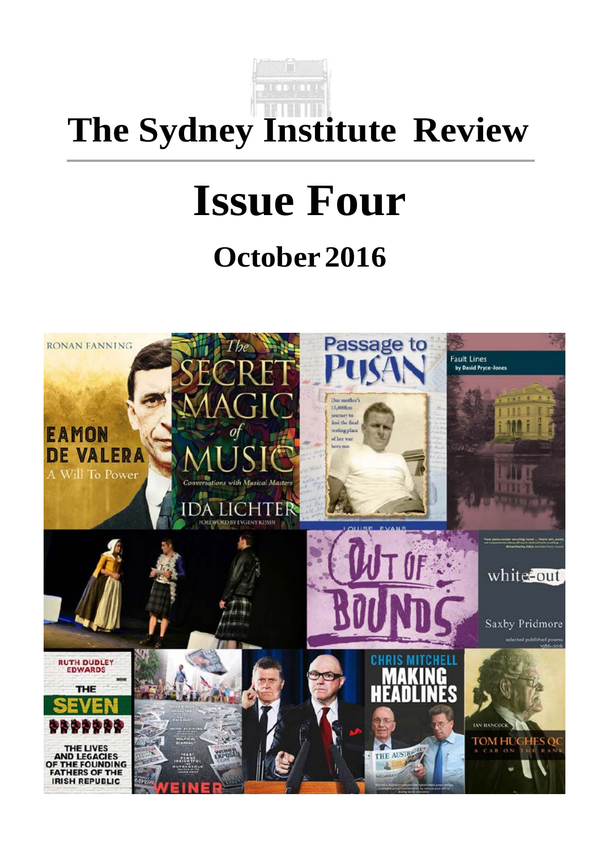

## **The Sydney Institute Review**

# **Issue Four October 2016**

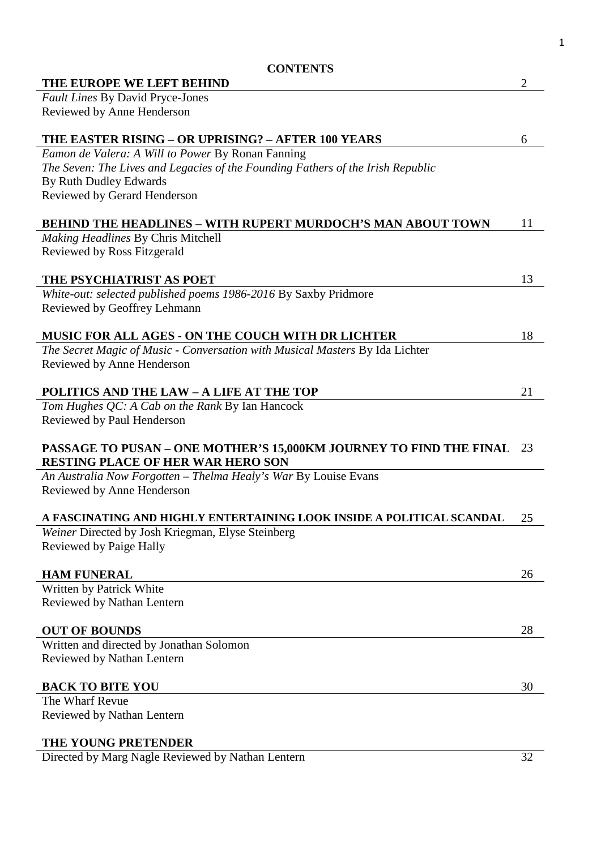| <b>CONTENTS</b>                                                                 |                |
|---------------------------------------------------------------------------------|----------------|
| THE EUROPE WE LEFT BEHIND                                                       | $\overline{2}$ |
| Fault Lines By David Pryce-Jones                                                |                |
| Reviewed by Anne Henderson                                                      |                |
|                                                                                 |                |
| THE EASTER RISING - OR UPRISING? - AFTER 100 YEARS                              | 6              |
| Eamon de Valera: A Will to Power By Ronan Fanning                               |                |
| The Seven: The Lives and Legacies of the Founding Fathers of the Irish Republic |                |
| By Ruth Dudley Edwards                                                          |                |
| Reviewed by Gerard Henderson                                                    |                |
| <b>BEHIND THE HEADLINES – WITH RUPERT MURDOCH'S MAN ABOUT TOWN</b>              | 11             |
| <b>Making Headlines By Chris Mitchell</b>                                       |                |
| Reviewed by Ross Fitzgerald                                                     |                |
|                                                                                 |                |
| THE PSYCHIATRIST AS POET                                                        | 13             |
| White-out: selected published poems 1986-2016 By Saxby Pridmore                 |                |
| Reviewed by Geoffrey Lehmann                                                    |                |
|                                                                                 |                |
| <b>MUSIC FOR ALL AGES - ON THE COUCH WITH DR LICHTER</b>                        | 18             |
| The Secret Magic of Music - Conversation with Musical Masters By Ida Lichter    |                |
| Reviewed by Anne Henderson                                                      |                |
|                                                                                 |                |
| <b>POLITICS AND THE LAW - A LIFE AT THE TOP</b>                                 | 21             |
| Tom Hughes QC: A Cab on the Rank By Ian Hancock                                 |                |
| Reviewed by Paul Henderson                                                      |                |
| PASSAGE TO PUSAN - ONE MOTHER'S 15,000KM JOURNEY TO FIND THE FINAL              | - 23           |
| <b>RESTING PLACE OF HER WAR HERO SON</b>                                        |                |
| An Australia Now Forgotten - Thelma Healy's War By Louise Evans                 |                |
| Reviewed by Anne Henderson                                                      |                |
|                                                                                 |                |
| A FASCINATING AND HIGHLY ENTERTAINING LOOK INSIDE A POLITICAL SCANDAL           | 25             |
| Weiner Directed by Josh Kriegman, Elyse Steinberg                               |                |
| Reviewed by Paige Hally                                                         |                |
|                                                                                 |                |
| <b>HAM FUNERAL</b>                                                              | 26             |
| Written by Patrick White                                                        |                |
| Reviewed by Nathan Lentern                                                      |                |
|                                                                                 |                |
| <b>OUT OF BOUNDS</b>                                                            | 28             |
| Written and directed by Jonathan Solomon                                        |                |
| Reviewed by Nathan Lentern                                                      |                |
|                                                                                 |                |
| <b>BACK TO BITE YOU</b>                                                         | 30             |
| The Wharf Revue                                                                 |                |
| Reviewed by Nathan Lentern                                                      |                |
|                                                                                 |                |
| THE YOUNG PRETENDER                                                             |                |

Directed by Marg Nagle Reviewed by Nathan Lentern 32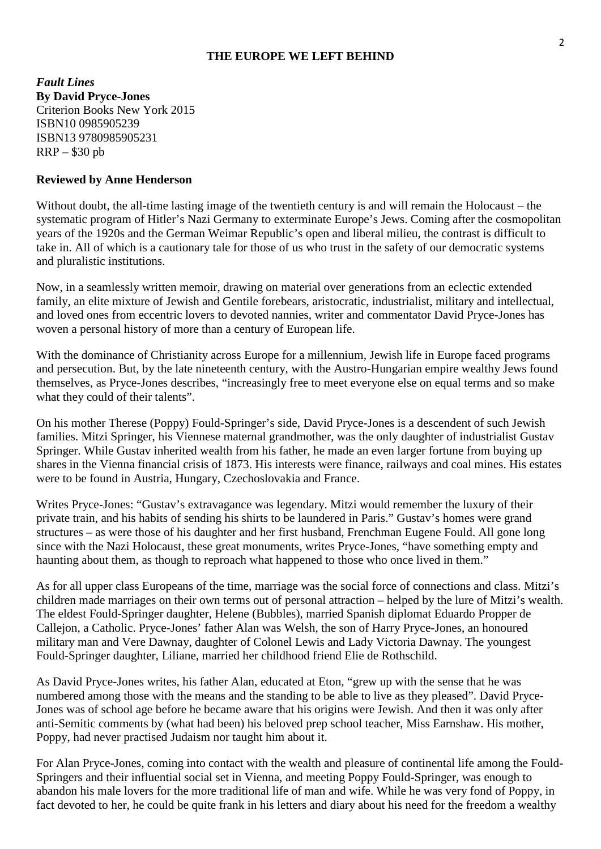#### **THE EUROPE WE LEFT BEHIND**

*Fault Lines* **By David Pryce-Jones** Criterion Books New York 2015 ISBN10 0985905239 ISBN13 9780985905231 RRP – \$30 pb

#### **Reviewed by Anne Henderson**

Without doubt, the all-time lasting image of the twentieth century is and will remain the Holocaust – the systematic program of Hitler's Nazi Germany to exterminate Europe's Jews. Coming after the cosmopolitan years of the 1920s and the German Weimar Republic's open and liberal milieu, the contrast is difficult to take in. All of which is a cautionary tale for those of us who trust in the safety of our democratic systems and pluralistic institutions.

Now, in a seamlessly written memoir, drawing on material over generations from an eclectic extended family, an elite mixture of Jewish and Gentile forebears, aristocratic, industrialist, military and intellectual, and loved ones from eccentric lovers to devoted nannies, writer and commentator David Pryce-Jones has woven a personal history of more than a century of European life.

With the dominance of Christianity across Europe for a millennium, Jewish life in Europe faced programs and persecution. But, by the late nineteenth century, with the Austro-Hungarian empire wealthy Jews found themselves, as Pryce-Jones describes, "increasingly free to meet everyone else on equal terms and so make what they could of their talents".

On his mother Therese (Poppy) Fould-Springer's side, David Pryce-Jones is a descendent of such Jewish families. Mitzi Springer, his Viennese maternal grandmother, was the only daughter of industrialist Gustav Springer. While Gustav inherited wealth from his father, he made an even larger fortune from buying up shares in the Vienna financial crisis of 1873. His interests were finance, railways and coal mines. His estates were to be found in Austria, Hungary, Czechoslovakia and France.

Writes Pryce-Jones: "Gustav's extravagance was legendary. Mitzi would remember the luxury of their private train, and his habits of sending his shirts to be laundered in Paris." Gustav's homes were grand structures – as were those of his daughter and her first husband, Frenchman Eugene Fould. All gone long since with the Nazi Holocaust, these great monuments, writes Pryce-Jones, "have something empty and haunting about them, as though to reproach what happened to those who once lived in them."

As for all upper class Europeans of the time, marriage was the social force of connections and class. Mitzi's children made marriages on their own terms out of personal attraction – helped by the lure of Mitzi's wealth. The eldest Fould-Springer daughter, Helene (Bubbles), married Spanish diplomat Eduardo Propper de Callejon, a Catholic. Pryce-Jones' father Alan was Welsh, the son of Harry Pryce-Jones, an honoured military man and Vere Dawnay, daughter of Colonel Lewis and Lady Victoria Dawnay. The youngest Fould-Springer daughter, Liliane, married her childhood friend Elie de Rothschild.

As David Pryce-Jones writes, his father Alan, educated at Eton, "grew up with the sense that he was numbered among those with the means and the standing to be able to live as they pleased". David Pryce-Jones was of school age before he became aware that his origins were Jewish. And then it was only after anti-Semitic comments by (what had been) his beloved prep school teacher, Miss Earnshaw. His mother, Poppy, had never practised Judaism nor taught him about it.

For Alan Pryce-Jones, coming into contact with the wealth and pleasure of continental life among the Fould-Springers and their influential social set in Vienna, and meeting Poppy Fould-Springer, was enough to abandon his male lovers for the more traditional life of man and wife. While he was very fond of Poppy, in fact devoted to her, he could be quite frank in his letters and diary about his need for the freedom a wealthy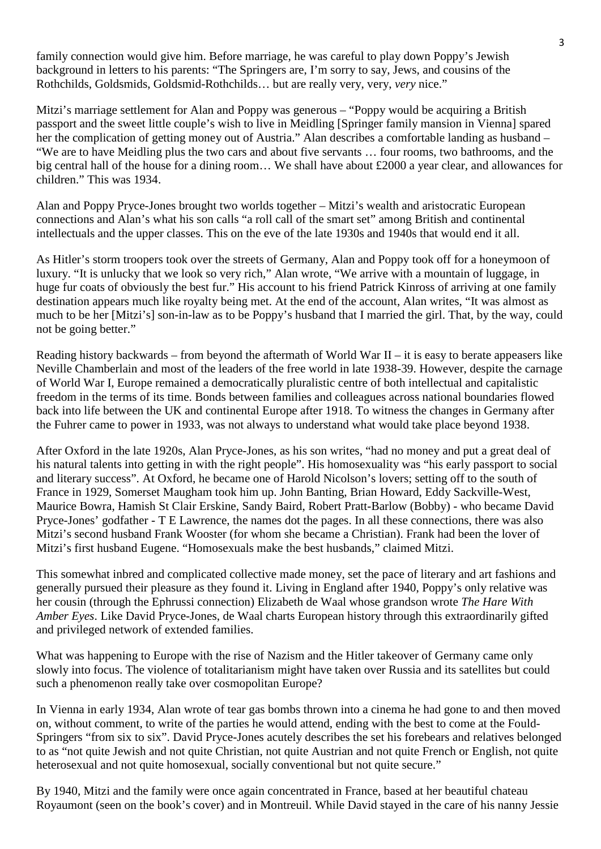family connection would give him. Before marriage, he was careful to play down Poppy's Jewish background in letters to his parents: "The Springers are, I'm sorry to say, Jews, and cousins of the Rothchilds, Goldsmids, Goldsmid-Rothchilds… but are really very, very, *very* nice."

Mitzi's marriage settlement for Alan and Poppy was generous – "Poppy would be acquiring a British passport and the sweet little couple's wish to live in Meidling [Springer family mansion in Vienna] spared her the complication of getting money out of Austria." Alan describes a comfortable landing as husband – "We are to have Meidling plus the two cars and about five servants … four rooms, two bathrooms, and the big central hall of the house for a dining room… We shall have about £2000 a year clear, and allowances for children." This was 1934.

Alan and Poppy Pryce-Jones brought two worlds together – Mitzi's wealth and aristocratic European connections and Alan's what his son calls "a roll call of the smart set" among British and continental intellectuals and the upper classes. This on the eve of the late 1930s and 1940s that would end it all.

As Hitler's storm troopers took over the streets of Germany, Alan and Poppy took off for a honeymoon of luxury. "It is unlucky that we look so very rich," Alan wrote, "We arrive with a mountain of luggage, in huge fur coats of obviously the best fur." His account to his friend Patrick Kinross of arriving at one family destination appears much like royalty being met. At the end of the account, Alan writes, "It was almost as much to be her [Mitzi's] son-in-law as to be Poppy's husband that I married the girl. That, by the way, could not be going better."

Reading history backwards – from beyond the aftermath of World War  $II$  – it is easy to berate appeasers like Neville Chamberlain and most of the leaders of the free world in late 1938-39. However, despite the carnage of World War I, Europe remained a democratically pluralistic centre of both intellectual and capitalistic freedom in the terms of its time. Bonds between families and colleagues across national boundaries flowed back into life between the UK and continental Europe after 1918. To witness the changes in Germany after the Fuhrer came to power in 1933, was not always to understand what would take place beyond 1938.

After Oxford in the late 1920s, Alan Pryce-Jones, as his son writes, "had no money and put a great deal of his natural talents into getting in with the right people". His homosexuality was "his early passport to social and literary success". At Oxford, he became one of Harold Nicolson's lovers; setting off to the south of France in 1929, Somerset Maugham took him up. John Banting, Brian Howard, Eddy Sackville-West, Maurice Bowra, Hamish St Clair Erskine, Sandy Baird, Robert Pratt-Barlow (Bobby) - who became David Pryce-Jones' godfather - T E Lawrence, the names dot the pages. In all these connections, there was also Mitzi's second husband Frank Wooster (for whom she became a Christian). Frank had been the lover of Mitzi's first husband Eugene. "Homosexuals make the best husbands," claimed Mitzi.

This somewhat inbred and complicated collective made money, set the pace of literary and art fashions and generally pursued their pleasure as they found it. Living in England after 1940, Poppy's only relative was her cousin (through the Ephrussi connection) Elizabeth de Waal whose grandson wrote *The Hare With Amber Eyes*. Like David Pryce-Jones, de Waal charts European history through this extraordinarily gifted and privileged network of extended families.

What was happening to Europe with the rise of Nazism and the Hitler takeover of Germany came only slowly into focus. The violence of totalitarianism might have taken over Russia and its satellites but could such a phenomenon really take over cosmopolitan Europe?

In Vienna in early 1934, Alan wrote of tear gas bombs thrown into a cinema he had gone to and then moved on, without comment, to write of the parties he would attend, ending with the best to come at the Fould-Springers "from six to six". David Pryce-Jones acutely describes the set his forebears and relatives belonged to as "not quite Jewish and not quite Christian, not quite Austrian and not quite French or English, not quite heterosexual and not quite homosexual, socially conventional but not quite secure."

By 1940, Mitzi and the family were once again concentrated in France, based at her beautiful chateau Royaumont (seen on the book's cover) and in Montreuil. While David stayed in the care of his nanny Jessie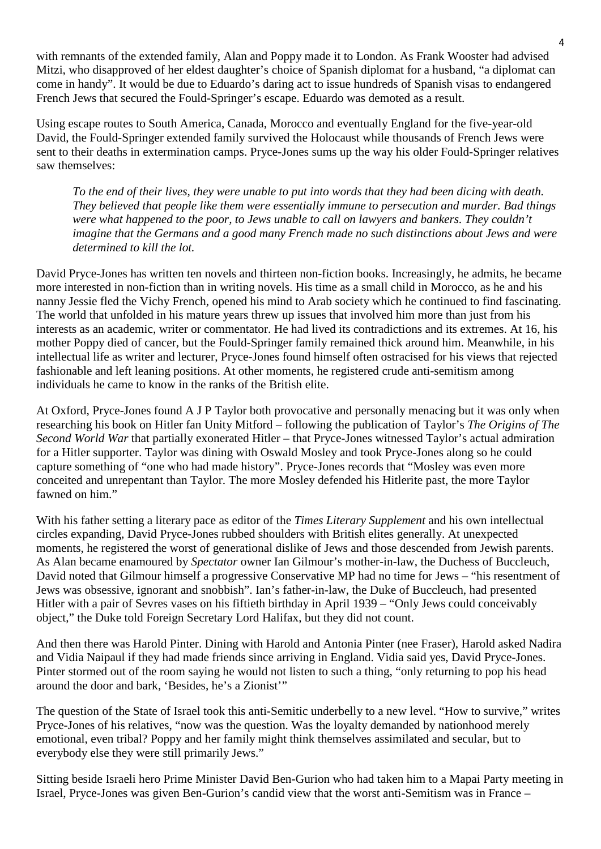with remnants of the extended family, Alan and Poppy made it to London. As Frank Wooster had advised Mitzi, who disapproved of her eldest daughter's choice of Spanish diplomat for a husband, "a diplomat can come in handy". It would be due to Eduardo's daring act to issue hundreds of Spanish visas to endangered French Jews that secured the Fould-Springer's escape. Eduardo was demoted as a result.

Using escape routes to South America, Canada, Morocco and eventually England for the five-year-old David, the Fould-Springer extended family survived the Holocaust while thousands of French Jews were sent to their deaths in extermination camps. Pryce-Jones sums up the way his older Fould-Springer relatives saw themselves:

*To the end of their lives, they were unable to put into words that they had been dicing with death. They believed that people like them were essentially immune to persecution and murder. Bad things were what happened to the poor, to Jews unable to call on lawyers and bankers. They couldn't imagine that the Germans and a good many French made no such distinctions about Jews and were determined to kill the lot.*

David Pryce-Jones has written ten novels and thirteen non-fiction books. Increasingly, he admits, he became more interested in non-fiction than in writing novels. His time as a small child in Morocco, as he and his nanny Jessie fled the Vichy French, opened his mind to Arab society which he continued to find fascinating. The world that unfolded in his mature years threw up issues that involved him more than just from his interests as an academic, writer or commentator. He had lived its contradictions and its extremes. At 16, his mother Poppy died of cancer, but the Fould-Springer family remained thick around him. Meanwhile, in his intellectual life as writer and lecturer, Pryce-Jones found himself often ostracised for his views that rejected fashionable and left leaning positions. At other moments, he registered crude anti-semitism among individuals he came to know in the ranks of the British elite.

At Oxford, Pryce-Jones found A J P Taylor both provocative and personally menacing but it was only when researching his book on Hitler fan Unity Mitford – following the publication of Taylor's *The Origins of The Second World War* that partially exonerated Hitler – that Pryce-Jones witnessed Taylor's actual admiration for a Hitler supporter. Taylor was dining with Oswald Mosley and took Pryce-Jones along so he could capture something of "one who had made history". Pryce-Jones records that "Mosley was even more conceited and unrepentant than Taylor. The more Mosley defended his Hitlerite past, the more Taylor fawned on him."

With his father setting a literary pace as editor of the *Times Literary Supplement* and his own intellectual circles expanding, David Pryce-Jones rubbed shoulders with British elites generally. At unexpected moments, he registered the worst of generational dislike of Jews and those descended from Jewish parents. As Alan became enamoured by *Spectator* owner Ian Gilmour's mother-in-law, the Duchess of Buccleuch, David noted that Gilmour himself a progressive Conservative MP had no time for Jews – "his resentment of Jews was obsessive, ignorant and snobbish". Ian's father-in-law, the Duke of Buccleuch, had presented Hitler with a pair of Sevres vases on his fiftieth birthday in April 1939 – "Only Jews could conceivably object," the Duke told Foreign Secretary Lord Halifax, but they did not count.

And then there was Harold Pinter. Dining with Harold and Antonia Pinter (nee Fraser), Harold asked Nadira and Vidia Naipaul if they had made friends since arriving in England. Vidia said yes, David Pryce-Jones. Pinter stormed out of the room saying he would not listen to such a thing, "only returning to pop his head around the door and bark, 'Besides, he's a Zionist'"

The question of the State of Israel took this anti-Semitic underbelly to a new level. "How to survive," writes Pryce-Jones of his relatives, "now was the question. Was the loyalty demanded by nationhood merely emotional, even tribal? Poppy and her family might think themselves assimilated and secular, but to everybody else they were still primarily Jews."

Sitting beside Israeli hero Prime Minister David Ben-Gurion who had taken him to a Mapai Party meeting in Israel, Pryce-Jones was given Ben-Gurion's candid view that the worst anti-Semitism was in France –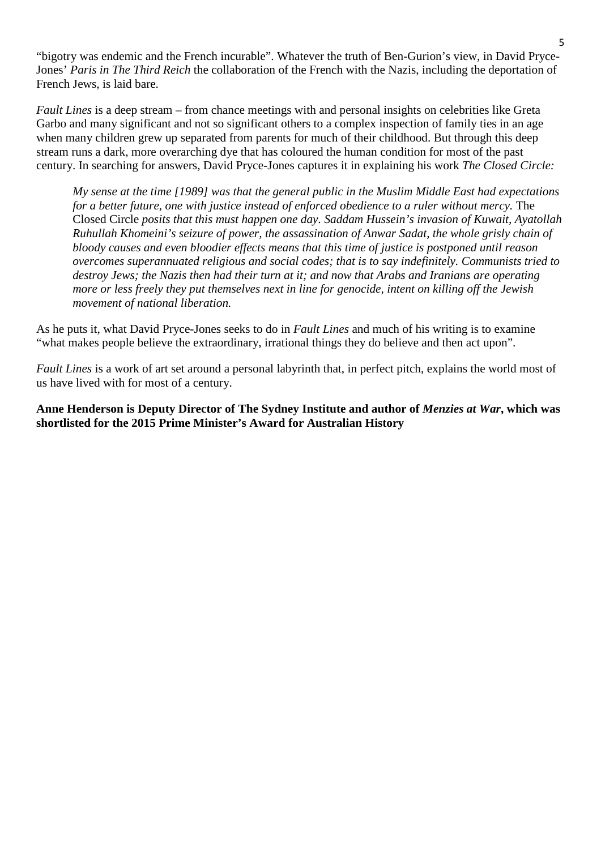"bigotry was endemic and the French incurable". Whatever the truth of Ben-Gurion's view, in David Pryce-Jones' *Paris in The Third Reich* the collaboration of the French with the Nazis, including the deportation of French Jews, is laid bare.

*Fault Lines* is a deep stream – from chance meetings with and personal insights on celebrities like Greta Garbo and many significant and not so significant others to a complex inspection of family ties in an age when many children grew up separated from parents for much of their childhood. But through this deep stream runs a dark, more overarching dye that has coloured the human condition for most of the past century. In searching for answers, David Pryce-Jones captures it in explaining his work *The Closed Circle:*

*My sense at the time [1989] was that the general public in the Muslim Middle East had expectations for a better future, one with justice instead of enforced obedience to a ruler without mercy.* The Closed Circle *posits that this must happen one day. Saddam Hussein's invasion of Kuwait, Ayatollah Ruhullah Khomeini's seizure of power, the assassination of Anwar Sadat, the whole grisly chain of bloody causes and even bloodier effects means that this time of justice is postponed until reason overcomes superannuated religious and social codes; that is to say indefinitely. Communists tried to destroy Jews; the Nazis then had their turn at it; and now that Arabs and Iranians are operating more or less freely they put themselves next in line for genocide, intent on killing off the Jewish movement of national liberation.*

As he puts it, what David Pryce-Jones seeks to do in *Fault Lines* and much of his writing is to examine "what makes people believe the extraordinary, irrational things they do believe and then act upon".

*Fault Lines* is a work of art set around a personal labyrinth that, in perfect pitch, explains the world most of us have lived with for most of a century.

**Anne Henderson is Deputy Director of The Sydney Institute and author of** *Menzies at War***, which was shortlisted for the 2015 Prime Minister's Award for Australian History**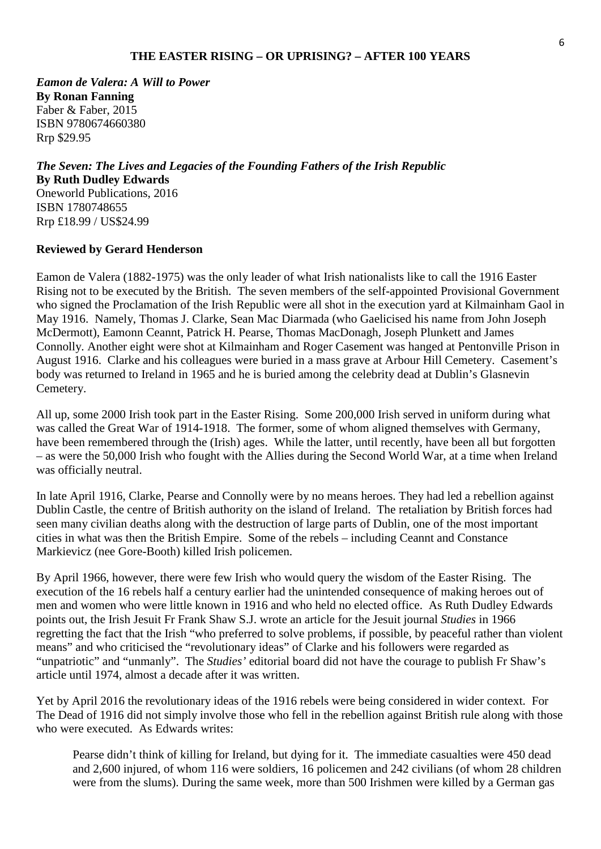*Eamon de Valera: A Will to Power* **By Ronan Fanning** Faber & Faber, 2015 ISBN 9780674660380 Rrp \$29.95

*The Seven: The Lives and Legacies of the Founding Fathers of the Irish Republic* **By Ruth Dudley Edwards** Oneworld Publications, 2016 ISBN 1780748655 Rrp £18.99 / US\$24.99

#### **Reviewed by Gerard Henderson**

Eamon de Valera (1882-1975) was the only leader of what Irish nationalists like to call the 1916 Easter Rising not to be executed by the British. The seven members of the self-appointed Provisional Government who signed the Proclamation of the Irish Republic were all shot in the execution yard at Kilmainham Gaol in May 1916. Namely, Thomas J. Clarke, Sean Mac Diarmada (who Gaelicised his name from John Joseph McDermott), Eamonn Ceannt, Patrick H. Pearse, Thomas MacDonagh, Joseph Plunkett and James Connolly. Another eight were shot at Kilmainham and Roger Casement was hanged at Pentonville Prison in August 1916. Clarke and his colleagues were buried in a mass grave at Arbour Hill Cemetery. Casement's body was returned to Ireland in 1965 and he is buried among the celebrity dead at Dublin's Glasnevin Cemetery.

All up, some 2000 Irish took part in the Easter Rising. Some 200,000 Irish served in uniform during what was called the Great War of 1914-1918. The former, some of whom aligned themselves with Germany, have been remembered through the (Irish) ages. While the latter, until recently, have been all but forgotten – as were the 50,000 Irish who fought with the Allies during the Second World War, at a time when Ireland was officially neutral.

In late April 1916, Clarke, Pearse and Connolly were by no means heroes. They had led a rebellion against Dublin Castle, the centre of British authority on the island of Ireland. The retaliation by British forces had seen many civilian deaths along with the destruction of large parts of Dublin, one of the most important cities in what was then the British Empire. Some of the rebels – including Ceannt and Constance Markievicz (nee Gore-Booth) killed Irish policemen.

By April 1966, however, there were few Irish who would query the wisdom of the Easter Rising. The execution of the 16 rebels half a century earlier had the unintended consequence of making heroes out of men and women who were little known in 1916 and who held no elected office. As Ruth Dudley Edwards points out, the Irish Jesuit Fr Frank Shaw S.J. wrote an article for the Jesuit journal *Studies* in 1966 regretting the fact that the Irish "who preferred to solve problems, if possible, by peaceful rather than violent means" and who criticised the "revolutionary ideas" of Clarke and his followers were regarded as "unpatriotic" and "unmanly". The *Studies'* editorial board did not have the courage to publish Fr Shaw's article until 1974, almost a decade after it was written.

Yet by April 2016 the revolutionary ideas of the 1916 rebels were being considered in wider context. For The Dead of 1916 did not simply involve those who fell in the rebellion against British rule along with those who were executed. As Edwards writes:

Pearse didn't think of killing for Ireland, but dying for it. The immediate casualties were 450 dead and 2,600 injured, of whom 116 were soldiers, 16 policemen and 242 civilians (of whom 28 children were from the slums). During the same week, more than 500 Irishmen were killed by a German gas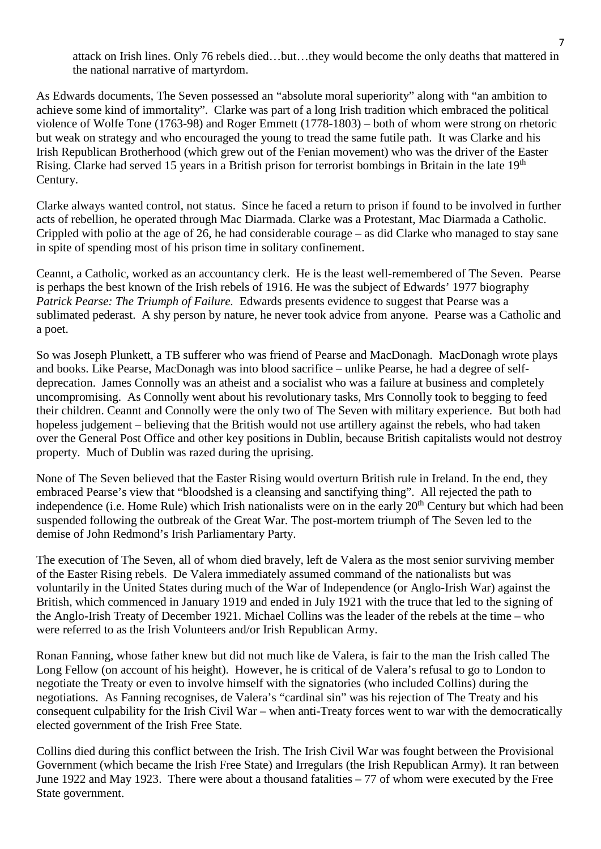attack on Irish lines. Only 76 rebels died…but…they would become the only deaths that mattered in the national narrative of martyrdom.

As Edwards documents, The Seven possessed an "absolute moral superiority" along with "an ambition to achieve some kind of immortality". Clarke was part of a long Irish tradition which embraced the political violence of Wolfe Tone (1763-98) and Roger Emmett (1778-1803) – both of whom were strong on rhetoric but weak on strategy and who encouraged the young to tread the same futile path. It was Clarke and his Irish Republican Brotherhood (which grew out of the Fenian movement) who was the driver of the Easter Rising. Clarke had served 15 years in a British prison for terrorist bombings in Britain in the late 19<sup>th</sup> Century.

Clarke always wanted control, not status. Since he faced a return to prison if found to be involved in further acts of rebellion, he operated through Mac Diarmada. Clarke was a Protestant, Mac Diarmada a Catholic. Crippled with polio at the age of 26, he had considerable courage – as did Clarke who managed to stay sane in spite of spending most of his prison time in solitary confinement.

Ceannt, a Catholic, worked as an accountancy clerk. He is the least well-remembered of The Seven. Pearse is perhaps the best known of the Irish rebels of 1916. He was the subject of Edwards' 1977 biography *Patrick Pearse: The Triumph of Failure.* Edwards presents evidence to suggest that Pearse was a sublimated pederast. A shy person by nature, he never took advice from anyone. Pearse was a Catholic and a poet.

So was Joseph Plunkett, a TB sufferer who was friend of Pearse and MacDonagh. MacDonagh wrote plays and books. Like Pearse, MacDonagh was into blood sacrifice – unlike Pearse, he had a degree of selfdeprecation. James Connolly was an atheist and a socialist who was a failure at business and completely uncompromising. As Connolly went about his revolutionary tasks, Mrs Connolly took to begging to feed their children. Ceannt and Connolly were the only two of The Seven with military experience. But both had hopeless judgement – believing that the British would not use artillery against the rebels, who had taken over the General Post Office and other key positions in Dublin, because British capitalists would not destroy property. Much of Dublin was razed during the uprising.

None of The Seven believed that the Easter Rising would overturn British rule in Ireland. In the end, they embraced Pearse's view that "bloodshed is a cleansing and sanctifying thing". All rejected the path to independence (i.e. Home Rule) which Irish nationalists were on in the early 20<sup>th</sup> Century but which had been suspended following the outbreak of the Great War. The post-mortem triumph of The Seven led to the demise of John Redmond's Irish Parliamentary Party.

The execution of The Seven, all of whom died bravely, left de Valera as the most senior surviving member of the Easter Rising rebels. De Valera immediately assumed command of the nationalists but was voluntarily in the United States during much of the War of Independence (or Anglo-Irish War) against the British, which commenced in January 1919 and ended in July 1921 with the truce that led to the signing of the Anglo-Irish Treaty of December 1921. Michael Collins was the leader of the rebels at the time – who were referred to as the Irish Volunteers and/or Irish Republican Army.

Ronan Fanning, whose father knew but did not much like de Valera, is fair to the man the Irish called The Long Fellow (on account of his height). However, he is critical of de Valera's refusal to go to London to negotiate the Treaty or even to involve himself with the signatories (who included Collins) during the negotiations. As Fanning recognises, de Valera's "cardinal sin" was his rejection of The Treaty and his consequent culpability for the Irish Civil War – when anti-Treaty forces went to war with the democratically elected government of the Irish Free State.

Collins died during this conflict between the Irish. The Irish Civil War was fought between the Provisional Government (which became the Irish Free State) and Irregulars (the Irish Republican Army). It ran between June 1922 and May 1923. There were about a thousand fatalities – 77 of whom were executed by the Free State government.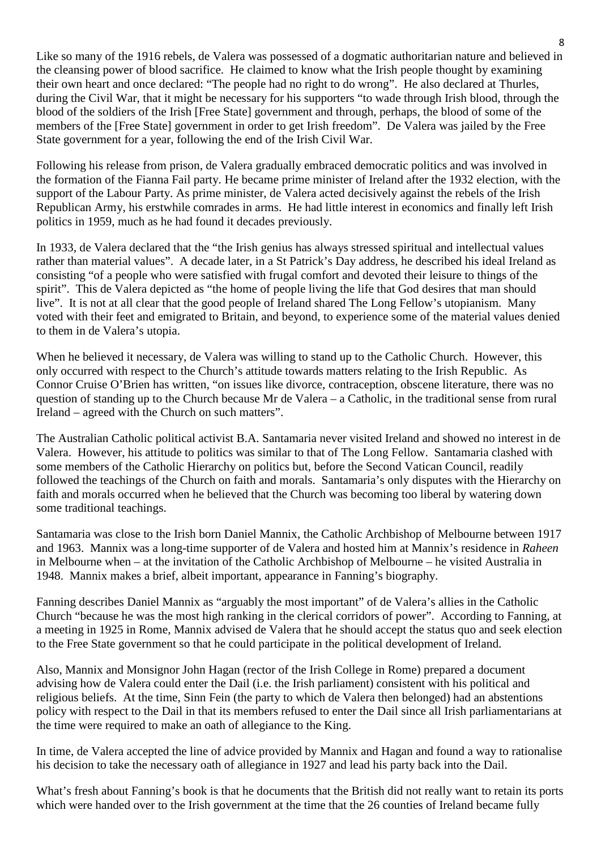Like so many of the 1916 rebels, de Valera was possessed of a dogmatic authoritarian nature and believed in the cleansing power of blood sacrifice. He claimed to know what the Irish people thought by examining their own heart and once declared: "The people had no right to do wrong". He also declared at Thurles, during the Civil War, that it might be necessary for his supporters "to wade through Irish blood, through the blood of the soldiers of the Irish [Free State] government and through, perhaps, the blood of some of the members of the [Free State] government in order to get Irish freedom". De Valera was jailed by the Free State government for a year, following the end of the Irish Civil War.

Following his release from prison, de Valera gradually embraced democratic politics and was involved in the formation of the Fianna Fail party. He became prime minister of Ireland after the 1932 election, with the support of the Labour Party. As prime minister, de Valera acted decisively against the rebels of the Irish Republican Army, his erstwhile comrades in arms. He had little interest in economics and finally left Irish politics in 1959, much as he had found it decades previously.

In 1933, de Valera declared that the "the Irish genius has always stressed spiritual and intellectual values rather than material values". A decade later, in a St Patrick's Day address, he described his ideal Ireland as consisting "of a people who were satisfied with frugal comfort and devoted their leisure to things of the spirit". This de Valera depicted as "the home of people living the life that God desires that man should live". It is not at all clear that the good people of Ireland shared The Long Fellow's utopianism. Many voted with their feet and emigrated to Britain, and beyond, to experience some of the material values denied to them in de Valera's utopia.

When he believed it necessary, de Valera was willing to stand up to the Catholic Church. However, this only occurred with respect to the Church's attitude towards matters relating to the Irish Republic. As Connor Cruise O'Brien has written, "on issues like divorce, contraception, obscene literature, there was no question of standing up to the Church because Mr de Valera – a Catholic, in the traditional sense from rural Ireland – agreed with the Church on such matters".

The Australian Catholic political activist B.A. Santamaria never visited Ireland and showed no interest in de Valera. However, his attitude to politics was similar to that of The Long Fellow. Santamaria clashed with some members of the Catholic Hierarchy on politics but, before the Second Vatican Council, readily followed the teachings of the Church on faith and morals. Santamaria's only disputes with the Hierarchy on faith and morals occurred when he believed that the Church was becoming too liberal by watering down some traditional teachings.

Santamaria was close to the Irish born Daniel Mannix, the Catholic Archbishop of Melbourne between 1917 and 1963. Mannix was a long-time supporter of de Valera and hosted him at Mannix's residence in *Raheen* in Melbourne when – at the invitation of the Catholic Archbishop of Melbourne – he visited Australia in 1948. Mannix makes a brief, albeit important, appearance in Fanning's biography.

Fanning describes Daniel Mannix as "arguably the most important" of de Valera's allies in the Catholic Church "because he was the most high ranking in the clerical corridors of power". According to Fanning, at a meeting in 1925 in Rome, Mannix advised de Valera that he should accept the status quo and seek election to the Free State government so that he could participate in the political development of Ireland.

Also, Mannix and Monsignor John Hagan (rector of the Irish College in Rome) prepared a document advising how de Valera could enter the Dail (i.e. the Irish parliament) consistent with his political and religious beliefs. At the time, Sinn Fein (the party to which de Valera then belonged) had an abstentions policy with respect to the Dail in that its members refused to enter the Dail since all Irish parliamentarians at the time were required to make an oath of allegiance to the King.

In time, de Valera accepted the line of advice provided by Mannix and Hagan and found a way to rationalise his decision to take the necessary oath of allegiance in 1927 and lead his party back into the Dail.

What's fresh about Fanning's book is that he documents that the British did not really want to retain its ports which were handed over to the Irish government at the time that the 26 counties of Ireland became fully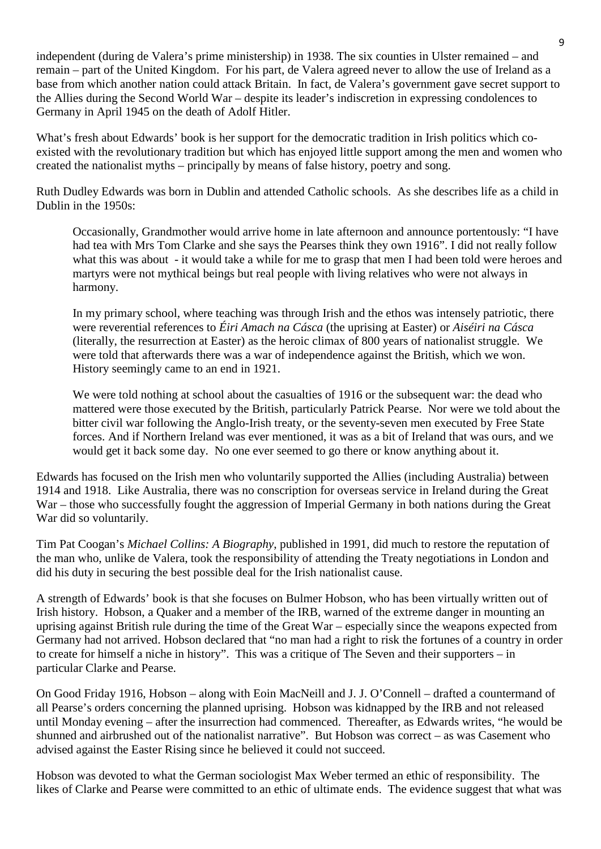independent (during de Valera's prime ministership) in 1938. The six counties in Ulster remained – and remain – part of the United Kingdom. For his part, de Valera agreed never to allow the use of Ireland as a base from which another nation could attack Britain. In fact, de Valera's government gave secret support to the Allies during the Second World War – despite its leader's indiscretion in expressing condolences to Germany in April 1945 on the death of Adolf Hitler.

What's fresh about Edwards' book is her support for the democratic tradition in Irish politics which coexisted with the revolutionary tradition but which has enjoyed little support among the men and women who created the nationalist myths – principally by means of false history, poetry and song.

Ruth Dudley Edwards was born in Dublin and attended Catholic schools. As she describes life as a child in Dublin in the 1950s:

Occasionally, Grandmother would arrive home in late afternoon and announce portentously: "I have had tea with Mrs Tom Clarke and she says the Pearses think they own 1916". I did not really follow what this was about - it would take a while for me to grasp that men I had been told were heroes and martyrs were not mythical beings but real people with living relatives who were not always in harmony.

In my primary school, where teaching was through Irish and the ethos was intensely patriotic, there were reverential references to *Éiri Amach na Cásca* (the uprising at Easter) or *Aiséiri na Cásca* (literally, the resurrection at Easter) as the heroic climax of 800 years of nationalist struggle. We were told that afterwards there was a war of independence against the British, which we won. History seemingly came to an end in 1921.

We were told nothing at school about the casualties of 1916 or the subsequent war: the dead who mattered were those executed by the British, particularly Patrick Pearse. Nor were we told about the bitter civil war following the Anglo-Irish treaty, or the seventy-seven men executed by Free State forces. And if Northern Ireland was ever mentioned, it was as a bit of Ireland that was ours, and we would get it back some day. No one ever seemed to go there or know anything about it.

Edwards has focused on the Irish men who voluntarily supported the Allies (including Australia) between 1914 and 1918. Like Australia, there was no conscription for overseas service in Ireland during the Great War – those who successfully fought the aggression of Imperial Germany in both nations during the Great War did so voluntarily.

Tim Pat Coogan's *Michael Collins: A Biography*, published in 1991, did much to restore the reputation of the man who, unlike de Valera, took the responsibility of attending the Treaty negotiations in London and did his duty in securing the best possible deal for the Irish nationalist cause.

A strength of Edwards' book is that she focuses on Bulmer Hobson, who has been virtually written out of Irish history. Hobson, a Quaker and a member of the IRB, warned of the extreme danger in mounting an uprising against British rule during the time of the Great War – especially since the weapons expected from Germany had not arrived. Hobson declared that "no man had a right to risk the fortunes of a country in order to create for himself a niche in history". This was a critique of The Seven and their supporters – in particular Clarke and Pearse.

On Good Friday 1916, Hobson – along with Eoin MacNeill and J. J. O'Connell – drafted a countermand of all Pearse's orders concerning the planned uprising. Hobson was kidnapped by the IRB and not released until Monday evening – after the insurrection had commenced. Thereafter, as Edwards writes, "he would be shunned and airbrushed out of the nationalist narrative". But Hobson was correct – as was Casement who advised against the Easter Rising since he believed it could not succeed.

Hobson was devoted to what the German sociologist Max Weber termed an ethic of responsibility. The likes of Clarke and Pearse were committed to an ethic of ultimate ends. The evidence suggest that what was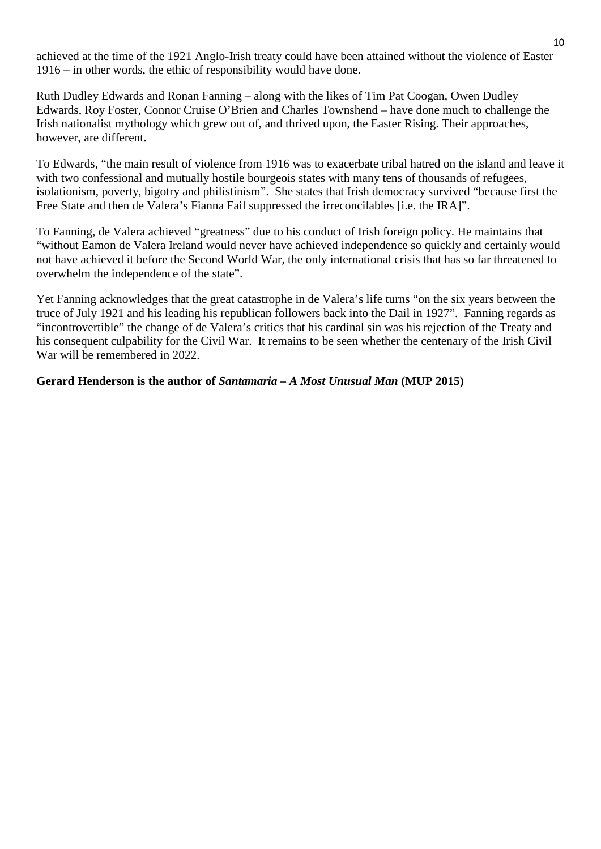achieved at the time of the 1921 Anglo-Irish treaty could have been attained without the violence of Easter 1916 – in other words, the ethic of responsibility would have done.

Ruth Dudley Edwards and Ronan Fanning – along with the likes of Tim Pat Coogan, Owen Dudley Edwards, Roy Foster, Connor Cruise O'Brien and Charles Townshend – have done much to challenge the Irish nationalist mythology which grew out of, and thrived upon, the Easter Rising. Their approaches, however, are different.

To Edwards, "the main result of violence from 1916 was to exacerbate tribal hatred on the island and leave it with two confessional and mutually hostile bourgeois states with many tens of thousands of refugees, isolationism, poverty, bigotry and philistinism". She states that Irish democracy survived "because first the Free State and then de Valera's Fianna Fail suppressed the irreconcilables [i.e. the IRA]".

To Fanning, de Valera achieved "greatness" due to his conduct of Irish foreign policy. He maintains that "without Eamon de Valera Ireland would never have achieved independence so quickly and certainly would not have achieved it before the Second World War, the only international crisis that has so far threatened to overwhelm the independence of the state".

Yet Fanning acknowledges that the great catastrophe in de Valera's life turns "on the six years between the truce of July 1921 and his leading his republican followers back into the Dail in 1927". Fanning regards as "incontrovertible" the change of de Valera's critics that his cardinal sin was his rejection of the Treaty and his consequent culpability for the Civil War. It remains to be seen whether the centenary of the Irish Civil War will be remembered in 2022.

#### **Gerard Henderson is the author of** *Santamaria – A Most Unusual Man* **(MUP 2015)**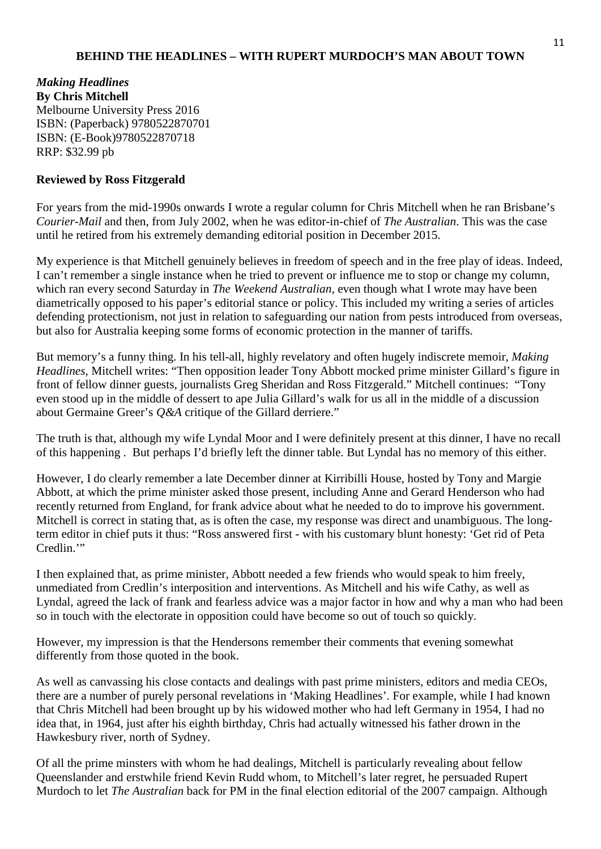#### **BEHIND THE HEADLINES – WITH RUPERT MURDOCH'S MAN ABOUT TOWN**

*Making Headlines*  **By Chris Mitchell** Melbourne University Press 2016 ISBN: (Paperback) 9780522870701 ISBN: (E-Book)9780522870718 RRP: \$32.99 pb

#### **Reviewed by Ross Fitzgerald**

For years from the mid-1990s onwards I wrote a regular column for Chris Mitchell when he ran Brisbane's *Courier-Mail* and then, from July 2002, when he was editor-in-chief of *The Australian*. This was the case until he retired from his extremely demanding editorial position in December 2015.

My experience is that Mitchell genuinely believes in freedom of speech and in the free play of ideas. Indeed, I can't remember a single instance when he tried to prevent or influence me to stop or change my column, which ran every second Saturday in *The Weekend Australian*, even though what I wrote may have been diametrically opposed to his paper's editorial stance or policy. This included my writing a series of articles defending protectionism, not just in relation to safeguarding our nation from pests introduced from overseas. but also for Australia keeping some forms of economic protection in the manner of tariffs.

But memory's a funny thing. In his tell-all, highly revelatory and often hugely indiscrete memoir, *Making Headlines,* Mitchell writes: "Then opposition leader Tony Abbott mocked prime minister Gillard's figure in front of fellow dinner guests, journalists Greg Sheridan and Ross Fitzgerald." Mitchell continues: "Tony even stood up in the middle of dessert to ape Julia Gillard's walk for us all in the middle of a discussion about Germaine Greer's *Q&A* critique of the Gillard derriere."

The truth is that, although my wife Lyndal Moor and I were definitely present at this dinner, I have no recall of this happening . But perhaps I'd briefly left the dinner table. But Lyndal has no memory of this either.

However, I do clearly remember a late December dinner at Kirribilli House, hosted by Tony and Margie Abbott, at which the prime minister asked those present, including Anne and Gerard Henderson who had recently returned from England, for frank advice about what he needed to do to improve his government. Mitchell is correct in stating that, as is often the case, my response was direct and unambiguous. The longterm editor in chief puts it thus: "Ross answered first - with his customary blunt honesty: 'Get rid of Peta Credlin."

I then explained that, as prime minister, Abbott needed a few friends who would speak to him freely, unmediated from Credlin's interposition and interventions. As Mitchell and his wife Cathy, as well as Lyndal, agreed the lack of frank and fearless advice was a major factor in how and why a man who had been so in touch with the electorate in opposition could have become so out of touch so quickly.

However, my impression is that the Hendersons remember their comments that evening somewhat differently from those quoted in the book.

As well as canvassing his close contacts and dealings with past prime ministers, editors and media CEOs, there are a number of purely personal revelations in 'Making Headlines'. For example, while I had known that Chris Mitchell had been brought up by his widowed mother who had left Germany in 1954, I had no idea that, in 1964, just after his eighth birthday, Chris had actually witnessed his father drown in the Hawkesbury river, north of Sydney.

Of all the prime minsters with whom he had dealings, Mitchell is particularly revealing about fellow Queenslander and erstwhile friend Kevin Rudd whom, to Mitchell's later regret, he persuaded Rupert Murdoch to let *The Australian* back for PM in the final election editorial of the 2007 campaign. Although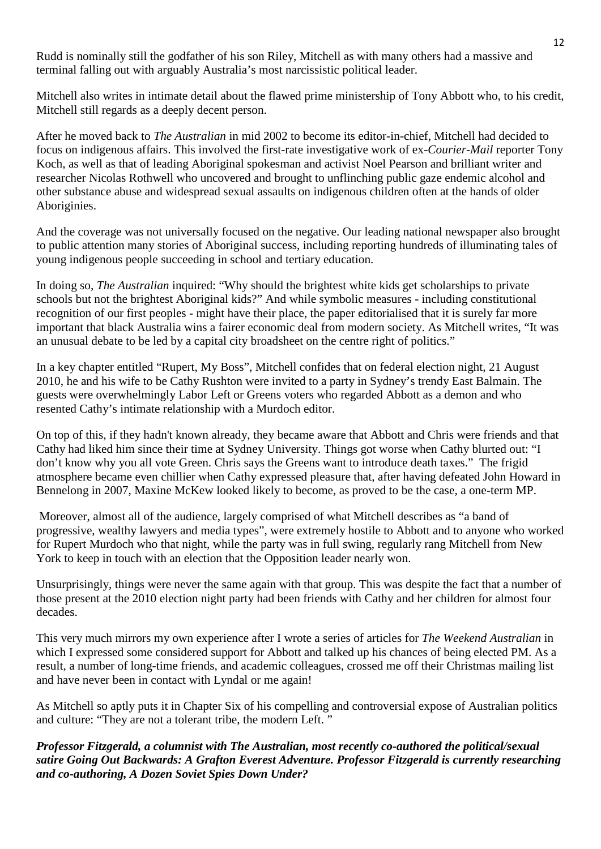Rudd is nominally still the godfather of his son Riley, Mitchell as with many others had a massive and terminal falling out with arguably Australia's most narcissistic political leader.

Mitchell also writes in intimate detail about the flawed prime ministership of Tony Abbott who, to his credit, Mitchell still regards as a deeply decent person.

After he moved back to *The Australian* in mid 2002 to become its editor-in-chief, Mitchell had decided to focus on indigenous affairs. This involved the first-rate investigative work of ex-*Courier-Mail* reporter Tony Koch, as well as that of leading Aboriginal spokesman and activist Noel Pearson and brilliant writer and researcher Nicolas Rothwell who uncovered and brought to unflinching public gaze endemic alcohol and other substance abuse and widespread sexual assaults on indigenous children often at the hands of older Aboriginies.

And the coverage was not universally focused on the negative. Our leading national newspaper also brought to public attention many stories of Aboriginal success, including reporting hundreds of illuminating tales of young indigenous people succeeding in school and tertiary education.

In doing so, *The Australian* inquired: "Why should the brightest white kids get scholarships to private schools but not the brightest Aboriginal kids?" And while symbolic measures - including constitutional recognition of our first peoples - might have their place, the paper editorialised that it is surely far more important that black Australia wins a fairer economic deal from modern society. As Mitchell writes, "It was an unusual debate to be led by a capital city broadsheet on the centre right of politics."

In a key chapter entitled "Rupert, My Boss", Mitchell confides that on federal election night, 21 August 2010, he and his wife to be Cathy Rushton were invited to a party in Sydney's trendy East Balmain. The guests were overwhelmingly Labor Left or Greens voters who regarded Abbott as a demon and who resented Cathy's intimate relationship with a Murdoch editor.

On top of this, if they hadn't known already, they became aware that Abbott and Chris were friends and that Cathy had liked him since their time at Sydney University. Things got worse when Cathy blurted out: "I don't know why you all vote Green. Chris says the Greens want to introduce death taxes." The frigid atmosphere became even chillier when Cathy expressed pleasure that, after having defeated John Howard in Bennelong in 2007, Maxine McKew looked likely to become, as proved to be the case, a one-term MP.

Moreover, almost all of the audience, largely comprised of what Mitchell describes as "a band of progressive, wealthy lawyers and media types", were extremely hostile to Abbott and to anyone who worked for Rupert Murdoch who that night, while the party was in full swing, regularly rang Mitchell from New York to keep in touch with an election that the Opposition leader nearly won.

Unsurprisingly, things were never the same again with that group. This was despite the fact that a number of those present at the 2010 election night party had been friends with Cathy and her children for almost four decades.

This very much mirrors my own experience after I wrote a series of articles for *The Weekend Australian* in which I expressed some considered support for Abbott and talked up his chances of being elected PM. As a result, a number of long-time friends, and academic colleagues, crossed me off their Christmas mailing list and have never been in contact with Lyndal or me again!

As Mitchell so aptly puts it in Chapter Six of his compelling and controversial expose of Australian politics and culture: "They are not a tolerant tribe, the modern Left. "

*Professor Fitzgerald, a columnist with The Australian, most recently co-authored the political/sexual satire Going Out Backwards: A Grafton Everest Adventure. Professor Fitzgerald is currently researching and co-authoring, A Dozen Soviet Spies Down Under?*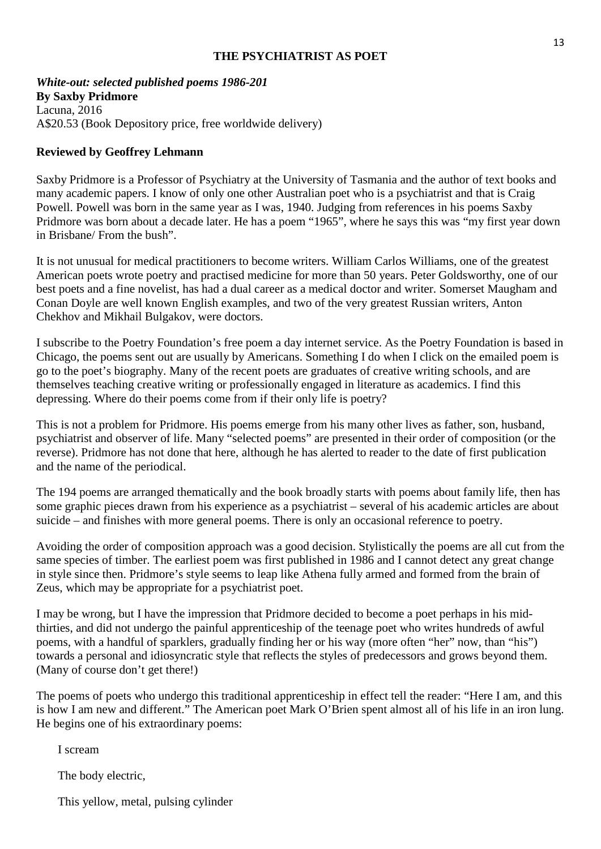#### **THE PSYCHIATRIST AS POET**

*White-out: selected published poems 1986-201*

#### **By Saxby Pridmore**

Lacuna, 2016 A\$20.53 (Book Depository price, free worldwide delivery)

#### **Reviewed by Geoffrey Lehmann**

Saxby Pridmore is a Professor of Psychiatry at the University of Tasmania and the author of text books and many academic papers. I know of only one other Australian poet who is a psychiatrist and that is Craig Powell. Powell was born in the same year as I was, 1940. Judging from references in his poems Saxby Pridmore was born about a decade later. He has a poem "1965", where he says this was "my first year down" in Brisbane/ From the bush".

It is not unusual for medical practitioners to become writers. William Carlos Williams, one of the greatest American poets wrote poetry and practised medicine for more than 50 years. Peter Goldsworthy, one of our best poets and a fine novelist, has had a dual career as a medical doctor and writer. Somerset Maugham and Conan Doyle are well known English examples, and two of the very greatest Russian writers, Anton Chekhov and Mikhail Bulgakov, were doctors.

I subscribe to the Poetry Foundation's free poem a day internet service. As the Poetry Foundation is based in Chicago, the poems sent out are usually by Americans. Something I do when I click on the emailed poem is go to the poet's biography. Many of the recent poets are graduates of creative writing schools, and are themselves teaching creative writing or professionally engaged in literature as academics. I find this depressing. Where do their poems come from if their only life is poetry?

This is not a problem for Pridmore. His poems emerge from his many other lives as father, son, husband, psychiatrist and observer of life. Many "selected poems" are presented in their order of composition (or the reverse). Pridmore has not done that here, although he has alerted to reader to the date of first publication and the name of the periodical.

The 194 poems are arranged thematically and the book broadly starts with poems about family life, then has some graphic pieces drawn from his experience as a psychiatrist – several of his academic articles are about suicide – and finishes with more general poems. There is only an occasional reference to poetry.

Avoiding the order of composition approach was a good decision. Stylistically the poems are all cut from the same species of timber. The earliest poem was first published in 1986 and I cannot detect any great change in style since then. Pridmore's style seems to leap like Athena fully armed and formed from the brain of Zeus, which may be appropriate for a psychiatrist poet.

I may be wrong, but I have the impression that Pridmore decided to become a poet perhaps in his midthirties, and did not undergo the painful apprenticeship of the teenage poet who writes hundreds of awful poems, with a handful of sparklers, gradually finding her or his way (more often "her" now, than "his") towards a personal and idiosyncratic style that reflects the styles of predecessors and grows beyond them. (Many of course don't get there!)

The poems of poets who undergo this traditional apprenticeship in effect tell the reader: "Here I am, and this is how I am new and different." The American poet Mark O'Brien spent almost all of his life in an iron lung. He begins one of his extraordinary poems:

I scream

The body electric,

This yellow, metal, pulsing cylinder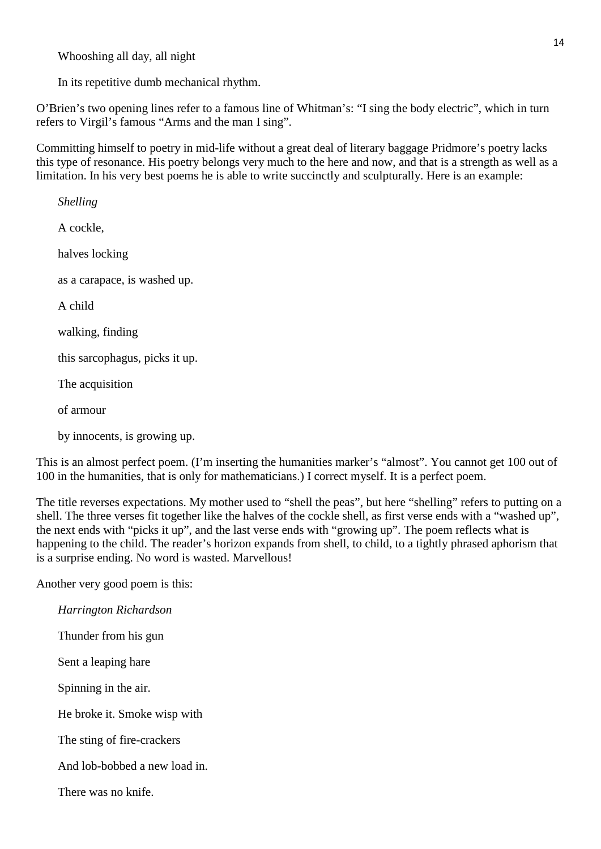Whooshing all day, all night

In its repetitive dumb mechanical rhythm.

O'Brien's two opening lines refer to a famous line of Whitman's: "I sing the body electric", which in turn refers to Virgil's famous "Arms and the man I sing".

Committing himself to poetry in mid-life without a great deal of literary baggage Pridmore's poetry lacks this type of resonance. His poetry belongs very much to the here and now, and that is a strength as well as a limitation. In his very best poems he is able to write succinctly and sculpturally. Here is an example:

*Shelling* A cockle, halves locking as a carapace, is washed up. A child walking, finding this sarcophagus, picks it up. The acquisition of armour

by innocents, is growing up.

This is an almost perfect poem. (I'm inserting the humanities marker's "almost". You cannot get 100 out of 100 in the humanities, that is only for mathematicians.) I correct myself. It is a perfect poem.

The title reverses expectations. My mother used to "shell the peas", but here "shelling" refers to putting on a shell. The three verses fit together like the halves of the cockle shell, as first verse ends with a "washed up", the next ends with "picks it up", and the last verse ends with "growing up". The poem reflects what is happening to the child. The reader's horizon expands from shell, to child, to a tightly phrased aphorism that is a surprise ending. No word is wasted. Marvellous!

Another very good poem is this:

| Harrington Richardson         |
|-------------------------------|
| Thunder from his gun          |
| Sent a leaping hare           |
| Spinning in the air.          |
| He broke it. Smoke wisp with  |
| The sting of fire-crackers    |
| And lob-bobbed a new load in. |
| There was no knife.           |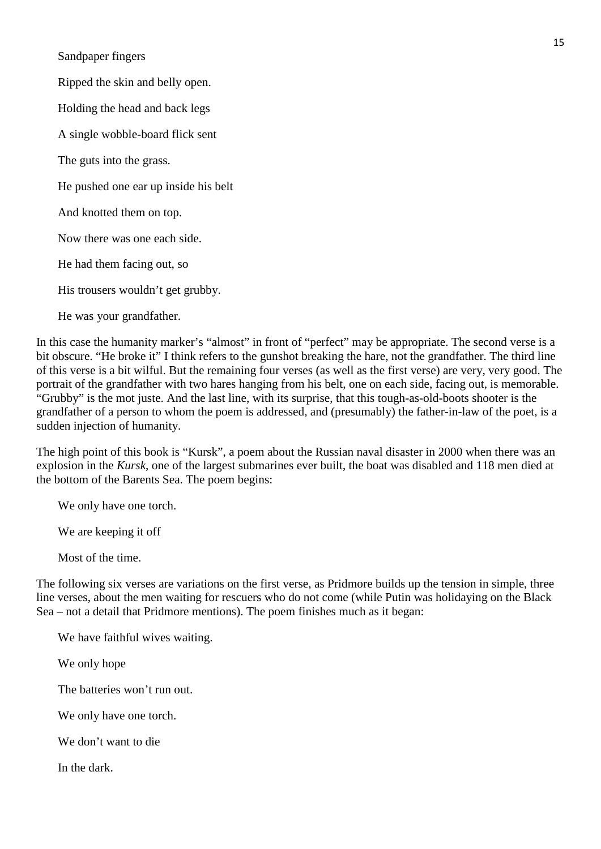Sandpaper fingers

Ripped the skin and belly open.

Holding the head and back legs

A single wobble-board flick sent

The guts into the grass.

He pushed one ear up inside his belt

And knotted them on top.

Now there was one each side.

He had them facing out, so

His trousers wouldn't get grubby.

He was your grandfather.

In this case the humanity marker's "almost" in front of "perfect" may be appropriate. The second verse is a bit obscure. "He broke it" I think refers to the gunshot breaking the hare, not the grandfather. The third line of this verse is a bit wilful. But the remaining four verses (as well as the first verse) are very, very good. The portrait of the grandfather with two hares hanging from his belt, one on each side, facing out, is memorable. "Grubby" is the mot juste. And the last line, with its surprise, that this tough-as-old-boots shooter is the grandfather of a person to whom the poem is addressed, and (presumably) the father-in-law of the poet, is a sudden injection of humanity.

The high point of this book is "Kursk", a poem about the Russian naval disaster in 2000 when there was an explosion in the *Kursk*, one of the largest submarines ever built, the boat was disabled and 118 men died at the bottom of the Barents Sea. The poem begins:

We only have one torch.

We are keeping it off

Most of the time.

The following six verses are variations on the first verse, as Pridmore builds up the tension in simple, three line verses, about the men waiting for rescuers who do not come (while Putin was holidaying on the Black Sea – not a detail that Pridmore mentions). The poem finishes much as it began:

We have faithful wives waiting.

We only hope

The batteries won't run out.

We only have one torch.

We don't want to die

In the dark.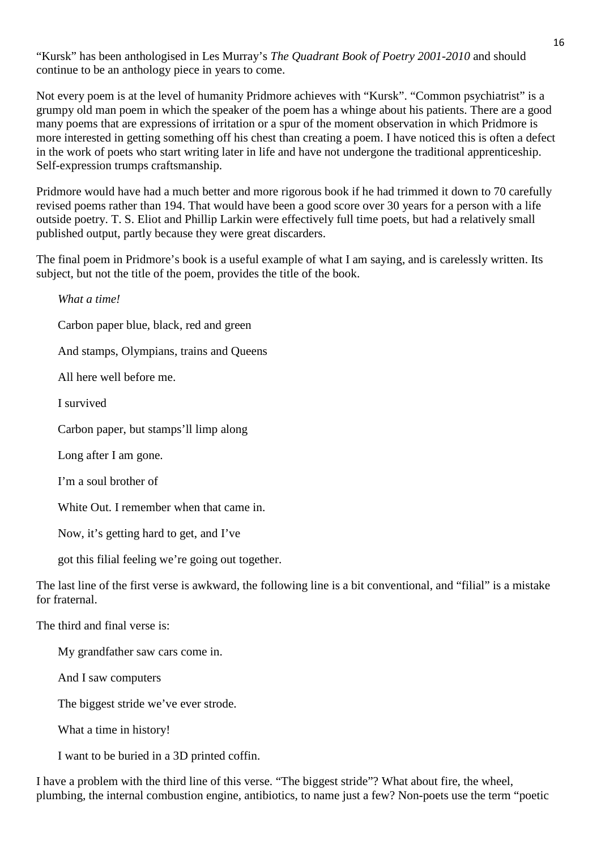"Kursk" has been anthologised in Les Murray's *The Quadrant Book of Poetry 2001-2010* and should continue to be an anthology piece in years to come.

Not every poem is at the level of humanity Pridmore achieves with "Kursk". "Common psychiatrist" is a grumpy old man poem in which the speaker of the poem has a whinge about his patients. There are a good many poems that are expressions of irritation or a spur of the moment observation in which Pridmore is more interested in getting something off his chest than creating a poem. I have noticed this is often a defect in the work of poets who start writing later in life and have not undergone the traditional apprenticeship. Self-expression trumps craftsmanship.

Pridmore would have had a much better and more rigorous book if he had trimmed it down to 70 carefully revised poems rather than 194. That would have been a good score over 30 years for a person with a life outside poetry. T. S. Eliot and Phillip Larkin were effectively full time poets, but had a relatively small published output, partly because they were great discarders.

The final poem in Pridmore's book is a useful example of what I am saying, and is carelessly written. Its subject, but not the title of the poem, provides the title of the book.

*What a time!* Carbon paper blue, black, red and green And stamps, Olympians, trains and Queens All here well before me. I survived Carbon paper, but stamps'll limp along Long after I am gone. I'm a soul brother of White Out. I remember when that came in. Now, it's getting hard to get, and I've got this filial feeling we're going out together. The last line of the first verse is awkward, the following line is a bit conventional, and "filial" is a mistake for fraternal. The third and final verse is: My grandfather saw cars come in. And I saw computers

The biggest stride we've ever strode.

What a time in history!

I want to be buried in a 3D printed coffin.

I have a problem with the third line of this verse. "The biggest stride"? What about fire, the wheel, plumbing, the internal combustion engine, antibiotics, to name just a few? Non-poets use the term "poetic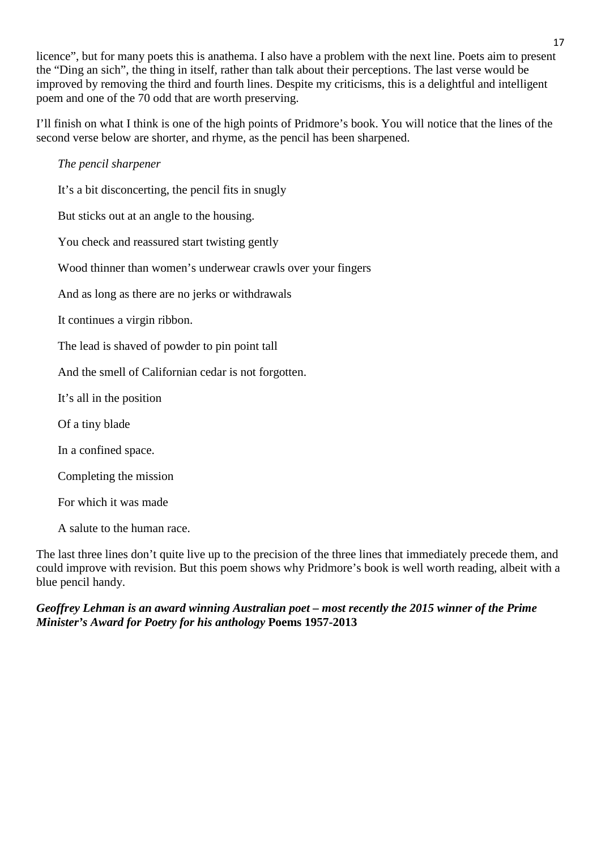licence", but for many poets this is anathema. I also have a problem with the next line. Poets aim to present the "Ding an sich", the thing in itself, rather than talk about their perceptions. The last verse would be improved by removing the third and fourth lines. Despite my criticisms, this is a delightful and intelligent poem and one of the 70 odd that are worth preserving.

I'll finish on what I think is one of the high points of Pridmore's book. You will notice that the lines of the second verse below are shorter, and rhyme, as the pencil has been sharpened.

### *The pencil sharpener* It's a bit disconcerting, the pencil fits in snugly But sticks out at an angle to the housing. You check and reassured start twisting gently Wood thinner than women's underwear crawls over your fingers And as long as there are no jerks or withdrawals It continues a virgin ribbon. The lead is shaved of powder to pin point tall And the smell of Californian cedar is not forgotten. It's all in the position Of a tiny blade In a confined space.

Completing the mission

For which it was made

A salute to the human race.

The last three lines don't quite live up to the precision of the three lines that immediately precede them, and could improve with revision. But this poem shows why Pridmore's book is well worth reading, albeit with a blue pencil handy.

#### *Geoffrey Lehman is an award winning Australian poet – most recently the 2015 winner of the Prime Minister's Award for Poetry for his anthology* **Poems 1957-2013**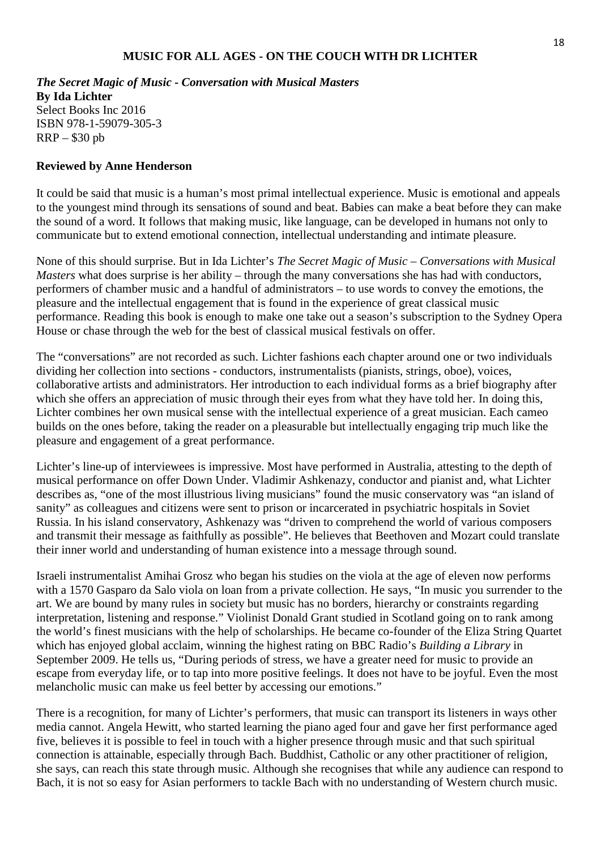#### **MUSIC FOR ALL AGES - ON THE COUCH WITH DR LICHTER**

*The Secret Magic of Music - Conversation with Musical Masters* **By Ida Lichter** Select Books Inc 2016 ISBN 978-1-59079-305-3 RRP – \$30 pb

#### **Reviewed by Anne Henderson**

It could be said that music is a human's most primal intellectual experience. Music is emotional and appeals to the youngest mind through its sensations of sound and beat. Babies can make a beat before they can make the sound of a word. It follows that making music, like language, can be developed in humans not only to communicate but to extend emotional connection, intellectual understanding and intimate pleasure.

None of this should surprise. But in Ida Lichter's *The Secret Magic of Music – Conversations with Musical Masters* what does surprise is her ability – through the many conversations she has had with conductors, performers of chamber music and a handful of administrators – to use words to convey the emotions, the pleasure and the intellectual engagement that is found in the experience of great classical music performance. Reading this book is enough to make one take out a season's subscription to the Sydney Opera House or chase through the web for the best of classical musical festivals on offer.

The "conversations" are not recorded as such. Lichter fashions each chapter around one or two individuals dividing her collection into sections - conductors, instrumentalists (pianists, strings, oboe), voices, collaborative artists and administrators. Her introduction to each individual forms as a brief biography after which she offers an appreciation of music through their eyes from what they have told her. In doing this, Lichter combines her own musical sense with the intellectual experience of a great musician. Each cameo builds on the ones before, taking the reader on a pleasurable but intellectually engaging trip much like the pleasure and engagement of a great performance.

Lichter's line-up of interviewees is impressive. Most have performed in Australia, attesting to the depth of musical performance on offer Down Under. Vladimir Ashkenazy, conductor and pianist and, what Lichter describes as, "one of the most illustrious living musicians" found the music conservatory was "an island of sanity" as colleagues and citizens were sent to prison or incarcerated in psychiatric hospitals in Soviet Russia. In his island conservatory, Ashkenazy was "driven to comprehend the world of various composers and transmit their message as faithfully as possible". He believes that Beethoven and Mozart could translate their inner world and understanding of human existence into a message through sound.

Israeli instrumentalist Amihai Grosz who began his studies on the viola at the age of eleven now performs with a 1570 Gasparo da Salo viola on loan from a private collection. He says, "In music you surrender to the art. We are bound by many rules in society but music has no borders, hierarchy or constraints regarding interpretation, listening and response." Violinist Donald Grant studied in Scotland going on to rank among the world's finest musicians with the help of scholarships. He became co-founder of the Eliza String Quartet which has enjoyed global acclaim, winning the highest rating on BBC Radio's *Building a Library* in September 2009. He tells us, "During periods of stress, we have a greater need for music to provide an escape from everyday life, or to tap into more positive feelings. It does not have to be joyful. Even the most melancholic music can make us feel better by accessing our emotions."

There is a recognition, for many of Lichter's performers, that music can transport its listeners in ways other media cannot. Angela Hewitt, who started learning the piano aged four and gave her first performance aged five, believes it is possible to feel in touch with a higher presence through music and that such spiritual connection is attainable, especially through Bach. Buddhist, Catholic or any other practitioner of religion, she says, can reach this state through music. Although she recognises that while any audience can respond to Bach, it is not so easy for Asian performers to tackle Bach with no understanding of Western church music.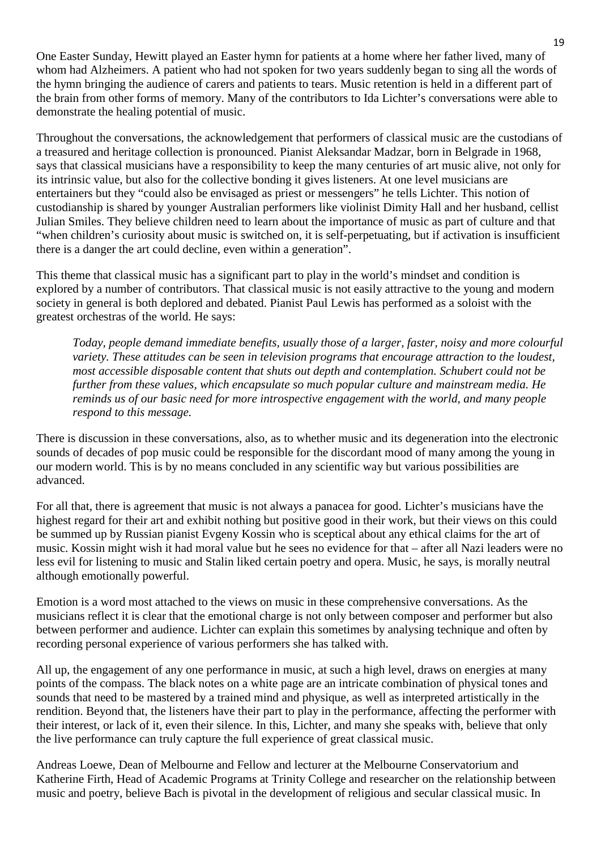One Easter Sunday, Hewitt played an Easter hymn for patients at a home where her father lived, many of whom had Alzheimers. A patient who had not spoken for two years suddenly began to sing all the words of the hymn bringing the audience of carers and patients to tears. Music retention is held in a different part of the brain from other forms of memory. Many of the contributors to Ida Lichter's conversations were able to demonstrate the healing potential of music.

Throughout the conversations, the acknowledgement that performers of classical music are the custodians of a treasured and heritage collection is pronounced. Pianist Aleksandar Madzar, born in Belgrade in 1968, says that classical musicians have a responsibility to keep the many centuries of art music alive, not only for its intrinsic value, but also for the collective bonding it gives listeners. At one level musicians are entertainers but they "could also be envisaged as priest or messengers" he tells Lichter. This notion of custodianship is shared by younger Australian performers like violinist Dimity Hall and her husband, cellist Julian Smiles. They believe children need to learn about the importance of music as part of culture and that "when children's curiosity about music is switched on, it is self-perpetuating, but if activation is insufficient there is a danger the art could decline, even within a generation".

This theme that classical music has a significant part to play in the world's mindset and condition is explored by a number of contributors. That classical music is not easily attractive to the young and modern society in general is both deplored and debated. Pianist Paul Lewis has performed as a soloist with the greatest orchestras of the world. He says:

*Today, people demand immediate benefits, usually those of a larger, faster, noisy and more colourful variety. These attitudes can be seen in television programs that encourage attraction to the loudest, most accessible disposable content that shuts out depth and contemplation. Schubert could not be further from these values, which encapsulate so much popular culture and mainstream media. He reminds us of our basic need for more introspective engagement with the world, and many people respond to this message.*

There is discussion in these conversations, also, as to whether music and its degeneration into the electronic sounds of decades of pop music could be responsible for the discordant mood of many among the young in our modern world. This is by no means concluded in any scientific way but various possibilities are advanced.

For all that, there is agreement that music is not always a panacea for good. Lichter's musicians have the highest regard for their art and exhibit nothing but positive good in their work, but their views on this could be summed up by Russian pianist Evgeny Kossin who is sceptical about any ethical claims for the art of music. Kossin might wish it had moral value but he sees no evidence for that – after all Nazi leaders were no less evil for listening to music and Stalin liked certain poetry and opera. Music, he says, is morally neutral although emotionally powerful.

Emotion is a word most attached to the views on music in these comprehensive conversations. As the musicians reflect it is clear that the emotional charge is not only between composer and performer but also between performer and audience. Lichter can explain this sometimes by analysing technique and often by recording personal experience of various performers she has talked with.

All up, the engagement of any one performance in music, at such a high level, draws on energies at many points of the compass. The black notes on a white page are an intricate combination of physical tones and sounds that need to be mastered by a trained mind and physique, as well as interpreted artistically in the rendition. Beyond that, the listeners have their part to play in the performance, affecting the performer with their interest, or lack of it, even their silence. In this, Lichter, and many she speaks with, believe that only the live performance can truly capture the full experience of great classical music.

Andreas Loewe, Dean of Melbourne and Fellow and lecturer at the Melbourne Conservatorium and Katherine Firth, Head of Academic Programs at Trinity College and researcher on the relationship between music and poetry, believe Bach is pivotal in the development of religious and secular classical music. In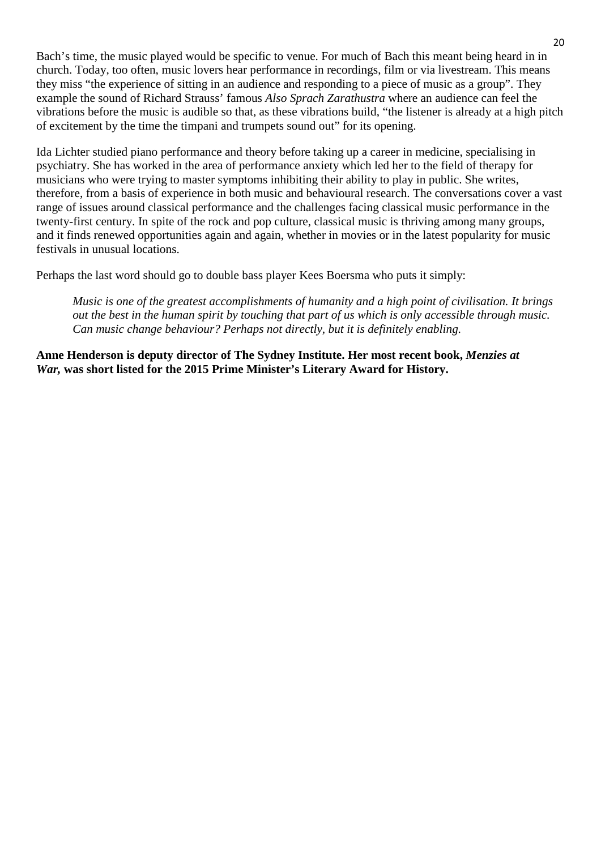Bach's time, the music played would be specific to venue. For much of Bach this meant being heard in in church. Today, too often, music lovers hear performance in recordings, film or via livestream. This means they miss "the experience of sitting in an audience and responding to a piece of music as a group". They example the sound of Richard Strauss' famous *Also Sprach Zarathustra* where an audience can feel the vibrations before the music is audible so that, as these vibrations build, "the listener is already at a high pitch of excitement by the time the timpani and trumpets sound out" for its opening.

Ida Lichter studied piano performance and theory before taking up a career in medicine, specialising in psychiatry. She has worked in the area of performance anxiety which led her to the field of therapy for musicians who were trying to master symptoms inhibiting their ability to play in public. She writes, therefore, from a basis of experience in both music and behavioural research. The conversations cover a vast range of issues around classical performance and the challenges facing classical music performance in the twenty-first century. In spite of the rock and pop culture, classical music is thriving among many groups, and it finds renewed opportunities again and again, whether in movies or in the latest popularity for music festivals in unusual locations.

Perhaps the last word should go to double bass player Kees Boersma who puts it simply:

*Music is one of the greatest accomplishments of humanity and a high point of civilisation. It brings* out the best in the human spirit by touching that part of us which is only accessible through music. *Can music change behaviour? Perhaps not directly, but it is definitely enabling.*

**Anne Henderson is deputy director of The Sydney Institute. Her most recent book,** *Menzies at War,* **was short listed for the 2015 Prime Minister's Literary Award for History.**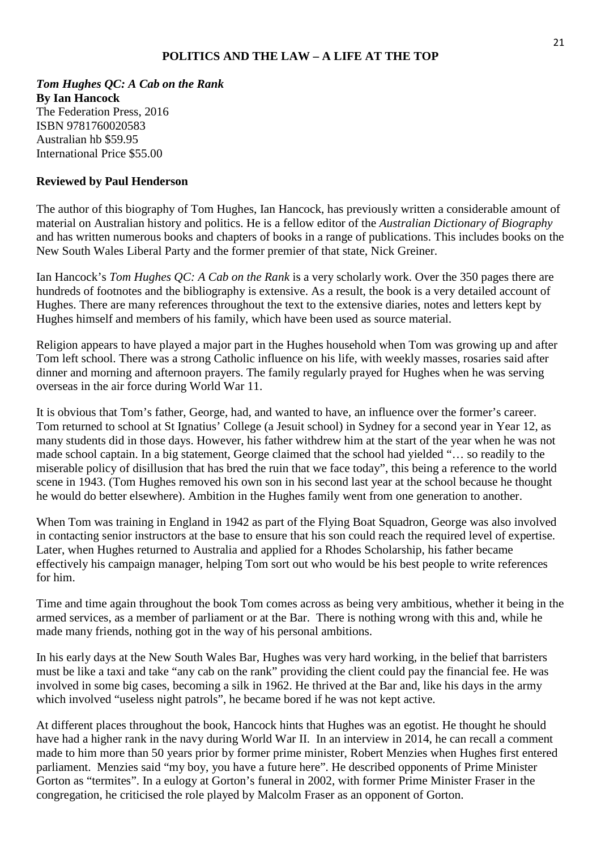#### **POLITICS AND THE LAW – A LIFE AT THE TOP**

*Tom Hughes QC: A Cab on the Rank* **By Ian Hancock** The Federation Press, 2016 ISBN 9781760020583 Australian hb \$59.95 International Price \$55.00

#### **Reviewed by Paul Henderson**

The author of this biography of Tom Hughes, Ian Hancock, has previously written a considerable amount of material on Australian history and politics. He is a fellow editor of the *Australian Dictionary of Biography* and has written numerous books and chapters of books in a range of publications. This includes books on the New South Wales Liberal Party and the former premier of that state, Nick Greiner.

Ian Hancock's *Tom Hughes QC: A Cab on the Rank* is a very scholarly work. Over the 350 pages there are hundreds of footnotes and the bibliography is extensive. As a result, the book is a very detailed account of Hughes. There are many references throughout the text to the extensive diaries, notes and letters kept by Hughes himself and members of his family, which have been used as source material.

Religion appears to have played a major part in the Hughes household when Tom was growing up and after Tom left school. There was a strong Catholic influence on his life, with weekly masses, rosaries said after dinner and morning and afternoon prayers. The family regularly prayed for Hughes when he was serving overseas in the air force during World War 11.

It is obvious that Tom's father, George, had, and wanted to have, an influence over the former's career. Tom returned to school at St Ignatius' College (a Jesuit school) in Sydney for a second year in Year 12, as many students did in those days. However, his father withdrew him at the start of the year when he was not made school captain. In a big statement, George claimed that the school had yielded "… so readily to the miserable policy of disillusion that has bred the ruin that we face today", this being a reference to the world scene in 1943. (Tom Hughes removed his own son in his second last year at the school because he thought he would do better elsewhere). Ambition in the Hughes family went from one generation to another.

When Tom was training in England in 1942 as part of the Flying Boat Squadron, George was also involved in contacting senior instructors at the base to ensure that his son could reach the required level of expertise. Later, when Hughes returned to Australia and applied for a Rhodes Scholarship, his father became effectively his campaign manager, helping Tom sort out who would be his best people to write references for him.

Time and time again throughout the book Tom comes across as being very ambitious, whether it being in the armed services, as a member of parliament or at the Bar. There is nothing wrong with this and, while he made many friends, nothing got in the way of his personal ambitions.

In his early days at the New South Wales Bar, Hughes was very hard working, in the belief that barristers must be like a taxi and take "any cab on the rank" providing the client could pay the financial fee. He was involved in some big cases, becoming a silk in 1962. He thrived at the Bar and, like his days in the army which involved "useless night patrols", he became bored if he was not kept active.

At different places throughout the book, Hancock hints that Hughes was an egotist. He thought he should have had a higher rank in the navy during World War II. In an interview in 2014, he can recall a comment made to him more than 50 years prior by former prime minister, Robert Menzies when Hughes first entered parliament. Menzies said "my boy, you have a future here". He described opponents of Prime Minister Gorton as "termites". In a eulogy at Gorton's funeral in 2002, with former Prime Minister Fraser in the congregation, he criticised the role played by Malcolm Fraser as an opponent of Gorton.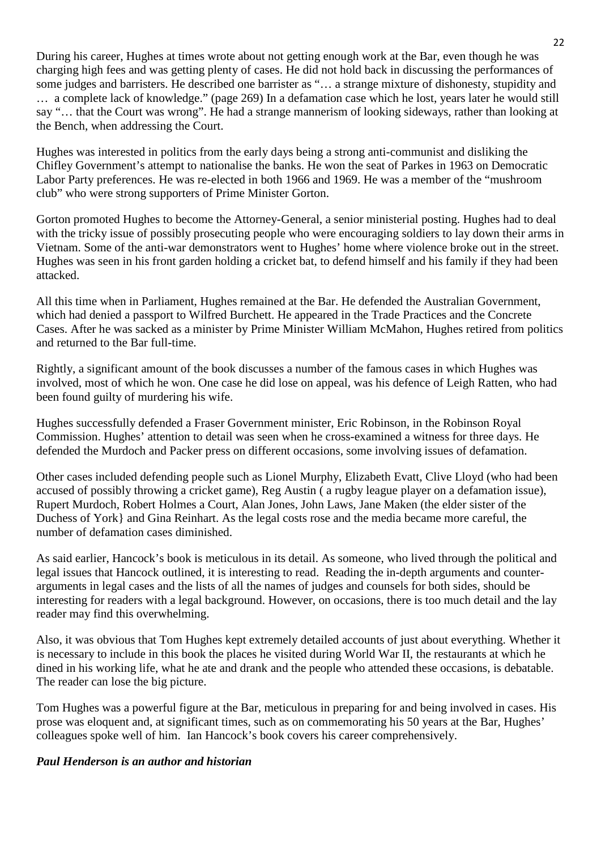During his career, Hughes at times wrote about not getting enough work at the Bar, even though he was charging high fees and was getting plenty of cases. He did not hold back in discussing the performances of some judges and barristers. He described one barrister as "… a strange mixture of dishonesty, stupidity and … a complete lack of knowledge." (page 269) In a defamation case which he lost, years later he would still say "… that the Court was wrong". He had a strange mannerism of looking sideways, rather than looking at the Bench, when addressing the Court.

Hughes was interested in politics from the early days being a strong anti-communist and disliking the Chifley Government's attempt to nationalise the banks. He won the seat of Parkes in 1963 on Democratic Labor Party preferences. He was re-elected in both 1966 and 1969. He was a member of the "mushroom club" who were strong supporters of Prime Minister Gorton.

Gorton promoted Hughes to become the Attorney-General, a senior ministerial posting. Hughes had to deal with the tricky issue of possibly prosecuting people who were encouraging soldiers to lay down their arms in Vietnam. Some of the anti-war demonstrators went to Hughes' home where violence broke out in the street. Hughes was seen in his front garden holding a cricket bat, to defend himself and his family if they had been attacked.

All this time when in Parliament, Hughes remained at the Bar. He defended the Australian Government, which had denied a passport to Wilfred Burchett. He appeared in the Trade Practices and the Concrete Cases. After he was sacked as a minister by Prime Minister William McMahon, Hughes retired from politics and returned to the Bar full-time.

Rightly, a significant amount of the book discusses a number of the famous cases in which Hughes was involved, most of which he won. One case he did lose on appeal, was his defence of Leigh Ratten, who had been found guilty of murdering his wife.

Hughes successfully defended a Fraser Government minister, Eric Robinson, in the Robinson Royal Commission. Hughes' attention to detail was seen when he cross-examined a witness for three days. He defended the Murdoch and Packer press on different occasions, some involving issues of defamation.

Other cases included defending people such as Lionel Murphy, Elizabeth Evatt, Clive Lloyd (who had been accused of possibly throwing a cricket game), Reg Austin ( a rugby league player on a defamation issue), Rupert Murdoch, Robert Holmes a Court, Alan Jones, John Laws, Jane Maken (the elder sister of the Duchess of York} and Gina Reinhart. As the legal costs rose and the media became more careful, the number of defamation cases diminished.

As said earlier, Hancock's book is meticulous in its detail. As someone, who lived through the political and legal issues that Hancock outlined, it is interesting to read. Reading the in-depth arguments and counterarguments in legal cases and the lists of all the names of judges and counsels for both sides, should be interesting for readers with a legal background. However, on occasions, there is too much detail and the lay reader may find this overwhelming.

Also, it was obvious that Tom Hughes kept extremely detailed accounts of just about everything. Whether it is necessary to include in this book the places he visited during World War II, the restaurants at which he dined in his working life, what he ate and drank and the people who attended these occasions, is debatable. The reader can lose the big picture.

Tom Hughes was a powerful figure at the Bar, meticulous in preparing for and being involved in cases. His prose was eloquent and, at significant times, such as on commemorating his 50 years at the Bar, Hughes' colleagues spoke well of him. Ian Hancock's book covers his career comprehensively.

#### *Paul Henderson is an author and historian*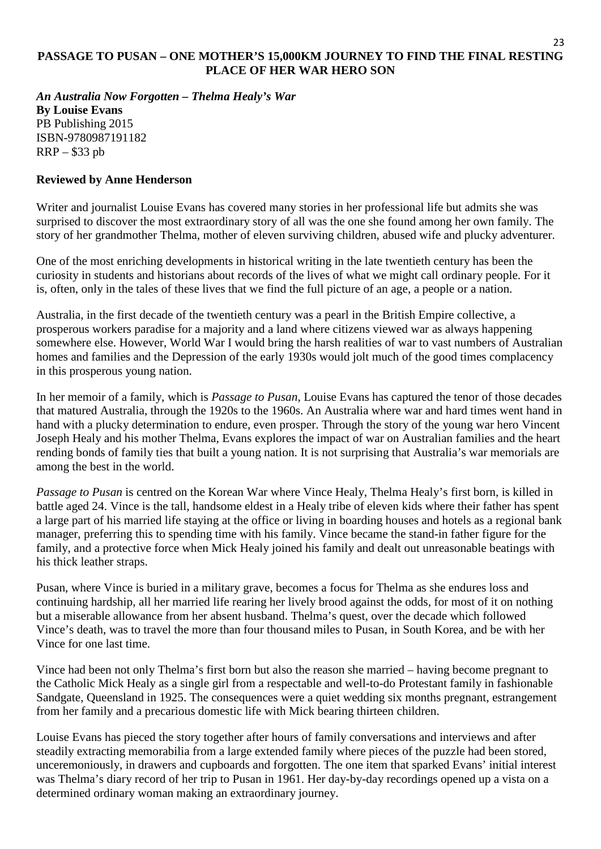#### **PASSAGE TO PUSAN – ONE MOTHER'S 15,000KM JOURNEY TO FIND THE FINAL RESTING PLACE OF HER WAR HERO SON**

23

*An Australia Now Forgotten – Thelma Healy's War* **By Louise Evans**  PB Publishing 2015 ISBN-9780987191182 RRP – \$33 pb

#### **Reviewed by Anne Henderson**

Writer and journalist Louise Evans has covered many stories in her professional life but admits she was surprised to discover the most extraordinary story of all was the one she found among her own family. The story of her grandmother Thelma, mother of eleven surviving children, abused wife and plucky adventurer.

One of the most enriching developments in historical writing in the late twentieth century has been the curiosity in students and historians about records of the lives of what we might call ordinary people. For it is, often, only in the tales of these lives that we find the full picture of an age, a people or a nation.

Australia, in the first decade of the twentieth century was a pearl in the British Empire collective, a prosperous workers paradise for a majority and a land where citizens viewed war as always happening somewhere else. However, World War I would bring the harsh realities of war to vast numbers of Australian homes and families and the Depression of the early 1930s would jolt much of the good times complacency in this prosperous young nation.

In her memoir of a family, which is *Passage to Pusan*, Louise Evans has captured the tenor of those decades that matured Australia, through the 1920s to the 1960s. An Australia where war and hard times went hand in hand with a plucky determination to endure, even prosper. Through the story of the young war hero Vincent Joseph Healy and his mother Thelma, Evans explores the impact of war on Australian families and the heart rending bonds of family ties that built a young nation. It is not surprising that Australia's war memorials are among the best in the world.

*Passage to Pusan* is centred on the Korean War where Vince Healy, Thelma Healy's first born, is killed in battle aged 24. Vince is the tall, handsome eldest in a Healy tribe of eleven kids where their father has spent a large part of his married life staying at the office or living in boarding houses and hotels as a regional bank manager, preferring this to spending time with his family. Vince became the stand-in father figure for the family, and a protective force when Mick Healy joined his family and dealt out unreasonable beatings with his thick leather straps.

Pusan, where Vince is buried in a military grave, becomes a focus for Thelma as she endures loss and continuing hardship, all her married life rearing her lively brood against the odds, for most of it on nothing but a miserable allowance from her absent husband. Thelma's quest, over the decade which followed Vince's death, was to travel the more than four thousand miles to Pusan, in South Korea, and be with her Vince for one last time.

Vince had been not only Thelma's first born but also the reason she married – having become pregnant to the Catholic Mick Healy as a single girl from a respectable and well-to-do Protestant family in fashionable Sandgate, Queensland in 1925. The consequences were a quiet wedding six months pregnant, estrangement from her family and a precarious domestic life with Mick bearing thirteen children.

Louise Evans has pieced the story together after hours of family conversations and interviews and after steadily extracting memorabilia from a large extended family where pieces of the puzzle had been stored, unceremoniously, in drawers and cupboards and forgotten. The one item that sparked Evans' initial interest was Thelma's diary record of her trip to Pusan in 1961. Her day-by-day recordings opened up a vista on a determined ordinary woman making an extraordinary journey.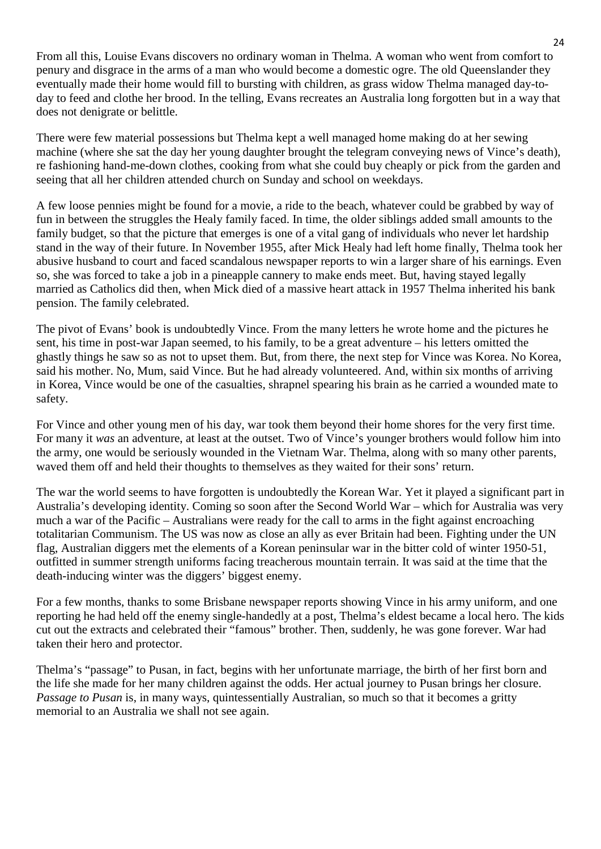From all this, Louise Evans discovers no ordinary woman in Thelma. A woman who went from comfort to penury and disgrace in the arms of a man who would become a domestic ogre. The old Queenslander they eventually made their home would fill to bursting with children, as grass widow Thelma managed day-today to feed and clothe her brood. In the telling, Evans recreates an Australia long forgotten but in a way that does not denigrate or belittle.

There were few material possessions but Thelma kept a well managed home making do at her sewing machine (where she sat the day her young daughter brought the telegram conveying news of Vince's death), re fashioning hand-me-down clothes, cooking from what she could buy cheaply or pick from the garden and seeing that all her children attended church on Sunday and school on weekdays.

A few loose pennies might be found for a movie, a ride to the beach, whatever could be grabbed by way of fun in between the struggles the Healy family faced. In time, the older siblings added small amounts to the family budget, so that the picture that emerges is one of a vital gang of individuals who never let hardship stand in the way of their future. In November 1955, after Mick Healy had left home finally, Thelma took her abusive husband to court and faced scandalous newspaper reports to win a larger share of his earnings. Even so, she was forced to take a job in a pineapple cannery to make ends meet. But, having stayed legally married as Catholics did then, when Mick died of a massive heart attack in 1957 Thelma inherited his bank pension. The family celebrated.

The pivot of Evans' book is undoubtedly Vince. From the many letters he wrote home and the pictures he sent, his time in post-war Japan seemed, to his family, to be a great adventure – his letters omitted the ghastly things he saw so as not to upset them. But, from there, the next step for Vince was Korea. No Korea, said his mother. No, Mum, said Vince. But he had already volunteered. And, within six months of arriving in Korea, Vince would be one of the casualties, shrapnel spearing his brain as he carried a wounded mate to safety.

For Vince and other young men of his day, war took them beyond their home shores for the very first time. For many it *was* an adventure, at least at the outset. Two of Vince's younger brothers would follow him into the army, one would be seriously wounded in the Vietnam War. Thelma, along with so many other parents, waved them off and held their thoughts to themselves as they waited for their sons' return.

The war the world seems to have forgotten is undoubtedly the Korean War. Yet it played a significant part in Australia's developing identity. Coming so soon after the Second World War – which for Australia was very much a war of the Pacific – Australians were ready for the call to arms in the fight against encroaching totalitarian Communism. The US was now as close an ally as ever Britain had been. Fighting under the UN flag, Australian diggers met the elements of a Korean peninsular war in the bitter cold of winter 1950-51, outfitted in summer strength uniforms facing treacherous mountain terrain. It was said at the time that the death-inducing winter was the diggers' biggest enemy.

For a few months, thanks to some Brisbane newspaper reports showing Vince in his army uniform, and one reporting he had held off the enemy single-handedly at a post, Thelma's eldest became a local hero. The kids cut out the extracts and celebrated their "famous" brother. Then, suddenly, he was gone forever. War had taken their hero and protector.

Thelma's "passage" to Pusan, in fact, begins with her unfortunate marriage, the birth of her first born and the life she made for her many children against the odds. Her actual journey to Pusan brings her closure. *Passage to Pusan* is, in many ways, quintessentially Australian, so much so that it becomes a gritty memorial to an Australia we shall not see again.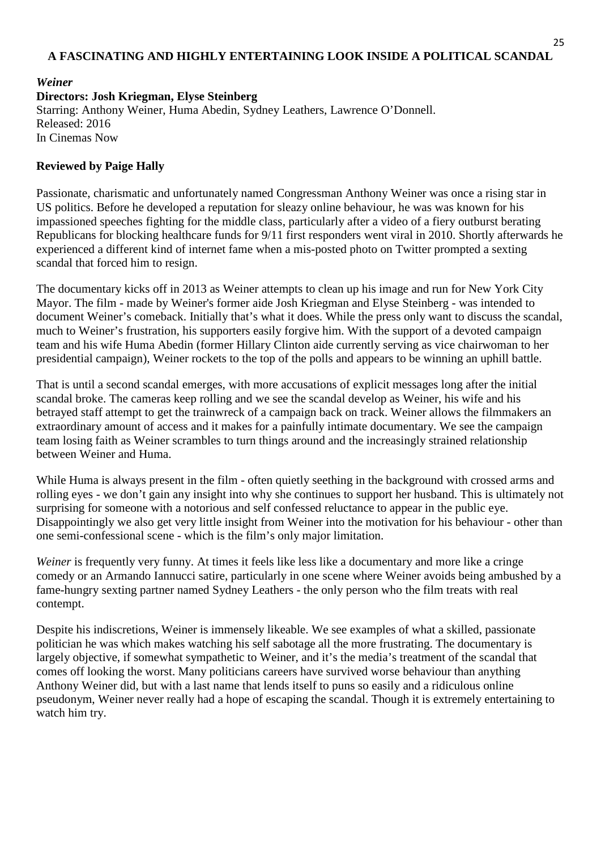#### **A FASCINATING AND HIGHLY ENTERTAINING LOOK INSIDE A POLITICAL SCANDAL**

25

#### *Weiner* **Directors: Josh Kriegman, Elyse Steinberg** Starring: Anthony Weiner, Huma Abedin, Sydney Leathers, Lawrence O'Donnell. Released: 2016 In Cinemas Now

#### **Reviewed by Paige Hally**

Passionate, charismatic and unfortunately named Congressman Anthony Weiner was once a rising star in US politics. Before he developed a reputation for sleazy online behaviour, he was was known for his impassioned speeches fighting for the middle class, particularly after a video of a fiery outburst berating Republicans for blocking healthcare funds for 9/11 first responders went viral in 2010. Shortly afterwards he experienced a different kind of internet fame when a mis-posted photo on Twitter prompted a sexting scandal that forced him to resign.

The documentary kicks off in 2013 as Weiner attempts to clean up his image and run for New York City Mayor. The film - made by Weiner's former aide Josh Kriegman and Elyse Steinberg - was intended to document Weiner's comeback. Initially that's what it does. While the press only want to discuss the scandal, much to Weiner's frustration, his supporters easily forgive him. With the support of a devoted campaign team and his wife Huma Abedin (former Hillary Clinton aide currently serving as vice chairwoman to her presidential campaign), Weiner rockets to the top of the polls and appears to be winning an uphill battle.

That is until a second scandal emerges, with more accusations of explicit messages long after the initial scandal broke. The cameras keep rolling and we see the scandal develop as Weiner, his wife and his betrayed staff attempt to get the trainwreck of a campaign back on track. Weiner allows the filmmakers an extraordinary amount of access and it makes for a painfully intimate documentary. We see the campaign team losing faith as Weiner scrambles to turn things around and the increasingly strained relationship between Weiner and Huma.

While Huma is always present in the film - often quietly seething in the background with crossed arms and rolling eyes - we don't gain any insight into why she continues to support her husband. This is ultimately not surprising for someone with a notorious and self confessed reluctance to appear in the public eye. Disappointingly we also get very little insight from Weiner into the motivation for his behaviour - other than one semi-confessional scene - which is the film's only major limitation.

*Weiner* is frequently very funny. At times it feels like less like a documentary and more like a cringe comedy or an Armando Iannucci satire, particularly in one scene where Weiner avoids being ambushed by a fame-hungry sexting partner named Sydney Leathers - the only person who the film treats with real contempt.

Despite his indiscretions, Weiner is immensely likeable. We see examples of what a skilled, passionate politician he was which makes watching his self sabotage all the more frustrating. The documentary is largely objective, if somewhat sympathetic to Weiner, and it's the media's treatment of the scandal that comes off looking the worst. Many politicians careers have survived worse behaviour than anything Anthony Weiner did, but with a last name that lends itself to puns so easily and a ridiculous online pseudonym, Weiner never really had a hope of escaping the scandal. Though it is extremely entertaining to watch him try.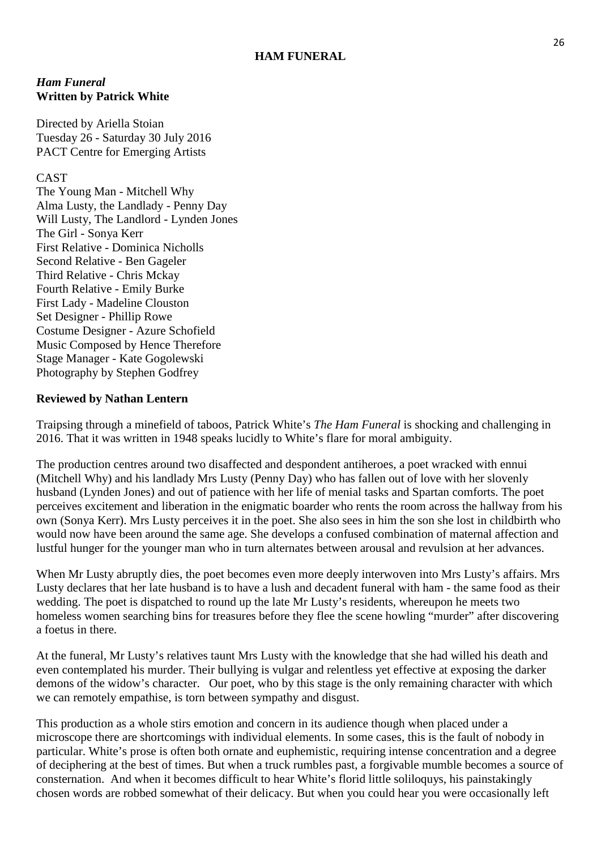#### **HAM FUNERAL**

#### *Ham Funeral* **Written by Patrick White**

Directed by Ariella Stoian Tuesday 26 - Saturday 30 July 2016 PACT Centre for Emerging Artists

#### CAST

The Young Man - Mitchell Why Alma Lusty, the Landlady - Penny Day Will Lusty, The Landlord - Lynden Jones The Girl - Sonya Kerr First Relative - Dominica Nicholls Second Relative - Ben Gageler Third Relative - Chris Mckay Fourth Relative - Emily Burke First Lady - Madeline Clouston Set Designer - Phillip Rowe Costume Designer - Azure Schofield Music Composed by Hence Therefore Stage Manager - Kate Gogolewski Photography by Stephen Godfrey

#### **Reviewed by Nathan Lentern**

Traipsing through a minefield of taboos, Patrick White's *The Ham Funeral* is shocking and challenging in 2016. That it was written in 1948 speaks lucidly to White's flare for moral ambiguity.

The production centres around two disaffected and despondent antiheroes, a poet wracked with ennui (Mitchell Why) and his landlady Mrs Lusty (Penny Day) who has fallen out of love with her slovenly husband (Lynden Jones) and out of patience with her life of menial tasks and Spartan comforts. The poet perceives excitement and liberation in the enigmatic boarder who rents the room across the hallway from his own (Sonya Kerr). Mrs Lusty perceives it in the poet. She also sees in him the son she lost in childbirth who would now have been around the same age. She develops a confused combination of maternal affection and lustful hunger for the younger man who in turn alternates between arousal and revulsion at her advances.

When Mr Lusty abruptly dies, the poet becomes even more deeply interwoven into Mrs Lusty's affairs. Mrs Lusty declares that her late husband is to have a lush and decadent funeral with ham - the same food as their wedding. The poet is dispatched to round up the late Mr Lusty's residents, whereupon he meets two homeless women searching bins for treasures before they flee the scene howling "murder" after discovering a foetus in there.

At the funeral, Mr Lusty's relatives taunt Mrs Lusty with the knowledge that she had willed his death and even contemplated his murder. Their bullying is vulgar and relentless yet effective at exposing the darker demons of the widow's character. Our poet, who by this stage is the only remaining character with which we can remotely empathise, is torn between sympathy and disgust.

This production as a whole stirs emotion and concern in its audience though when placed under a microscope there are shortcomings with individual elements. In some cases, this is the fault of nobody in particular. White's prose is often both ornate and euphemistic, requiring intense concentration and a degree of deciphering at the best of times. But when a truck rumbles past, a forgivable mumble becomes a source of consternation. And when it becomes difficult to hear White's florid little soliloquys, his painstakingly chosen words are robbed somewhat of their delicacy. But when you could hear you were occasionally left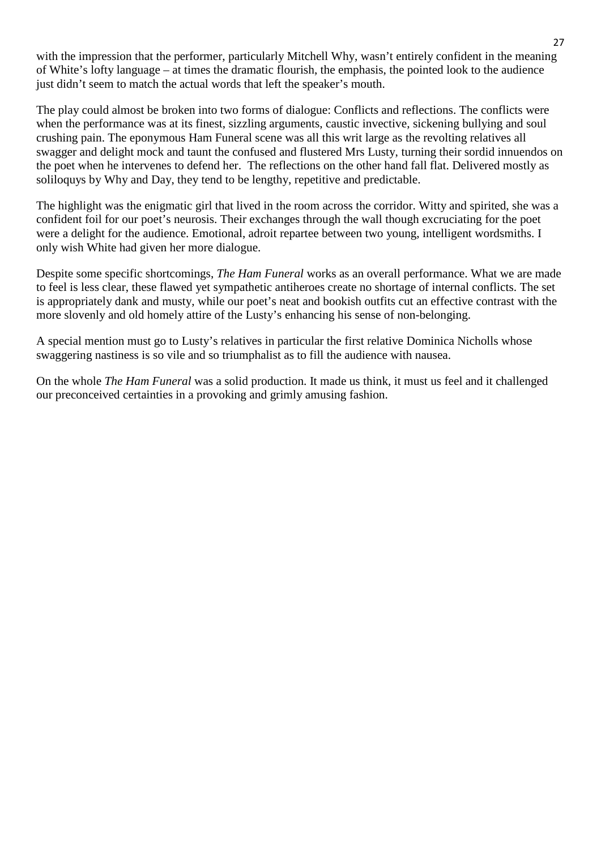with the impression that the performer, particularly Mitchell Why, wasn't entirely confident in the meaning of White's lofty language – at times the dramatic flourish, the emphasis, the pointed look to the audience just didn't seem to match the actual words that left the speaker's mouth.

The play could almost be broken into two forms of dialogue: Conflicts and reflections. The conflicts were when the performance was at its finest, sizzling arguments, caustic invective, sickening bullying and soul crushing pain. The eponymous Ham Funeral scene was all this writ large as the revolting relatives all swagger and delight mock and taunt the confused and flustered Mrs Lusty, turning their sordid innuendos on the poet when he intervenes to defend her. The reflections on the other hand fall flat. Delivered mostly as soliloquys by Why and Day, they tend to be lengthy, repetitive and predictable.

The highlight was the enigmatic girl that lived in the room across the corridor. Witty and spirited, she was a confident foil for our poet's neurosis. Their exchanges through the wall though excruciating for the poet were a delight for the audience. Emotional, adroit repartee between two young, intelligent wordsmiths. I only wish White had given her more dialogue.

Despite some specific shortcomings, *The Ham Funeral* works as an overall performance. What we are made to feel is less clear, these flawed yet sympathetic antiheroes create no shortage of internal conflicts. The set is appropriately dank and musty, while our poet's neat and bookish outfits cut an effective contrast with the more slovenly and old homely attire of the Lusty's enhancing his sense of non-belonging.

A special mention must go to Lusty's relatives in particular the first relative Dominica Nicholls whose swaggering nastiness is so vile and so triumphalist as to fill the audience with nausea.

On the whole *The Ham Funeral* was a solid production. It made us think, it must us feel and it challenged our preconceived certainties in a provoking and grimly amusing fashion.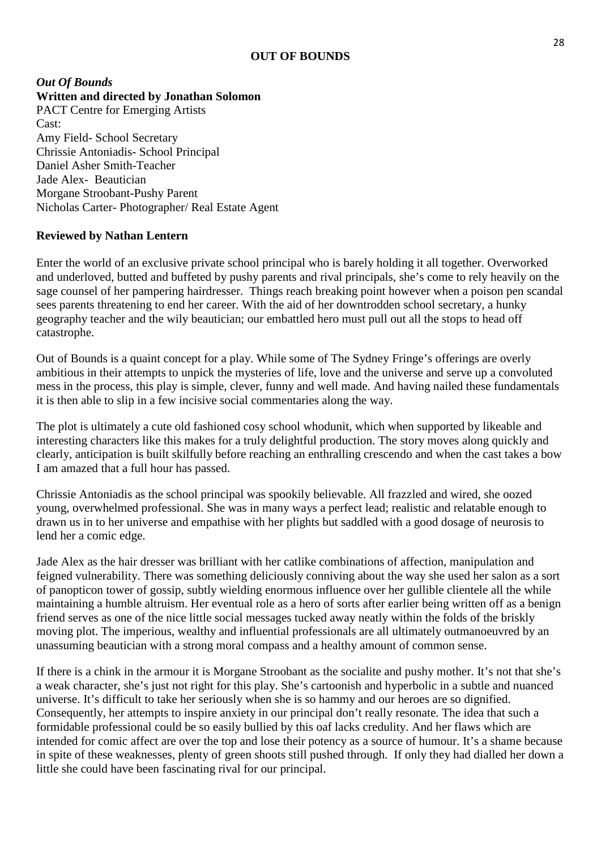#### **OUT OF BOUNDS**

#### *Out Of Bounds* **Written and directed by Jonathan Solomon** PACT Centre for Emerging Artists Cast: Amy Field- School Secretary Chrissie Antoniadis- School Principal Daniel Asher Smith-Teacher Jade Alex- Beautician Morgane Stroobant-Pushy Parent Nicholas Carter- Photographer/ Real Estate Agent

#### **Reviewed by Nathan Lentern**

Enter the world of an exclusive private school principal who is barely holding it all together. Overworked and underloved, butted and buffeted by pushy parents and rival principals, she's come to rely heavily on the sage counsel of her pampering hairdresser. Things reach breaking point however when a poison pen scandal sees parents threatening to end her career. With the aid of her downtrodden school secretary, a hunky geography teacher and the wily beautician; our embattled hero must pull out all the stops to head off catastrophe.

Out of Bounds is a quaint concept for a play. While some of The Sydney Fringe's offerings are overly ambitious in their attempts to unpick the mysteries of life, love and the universe and serve up a convoluted mess in the process, this play is simple, clever, funny and well made. And having nailed these fundamentals it is then able to slip in a few incisive social commentaries along the way.

The plot is ultimately a cute old fashioned cosy school whodunit, which when supported by likeable and interesting characters like this makes for a truly delightful production. The story moves along quickly and clearly, anticipation is built skilfully before reaching an enthralling crescendo and when the cast takes a bow I am amazed that a full hour has passed.

Chrissie Antoniadis as the school principal was spookily believable. All frazzled and wired, she oozed young, overwhelmed professional. She was in many ways a perfect lead; realistic and relatable enough to drawn us in to her universe and empathise with her plights but saddled with a good dosage of neurosis to lend her a comic edge.

Jade Alex as the hair dresser was brilliant with her catlike combinations of affection, manipulation and feigned vulnerability. There was something deliciously conniving about the way she used her salon as a sort of panopticon tower of gossip, subtly wielding enormous influence over her gullible clientele all the while maintaining a humble altruism. Her eventual role as a hero of sorts after earlier being written off as a benign friend serves as one of the nice little social messages tucked away neatly within the folds of the briskly moving plot. The imperious, wealthy and influential professionals are all ultimately outmanoeuvred by an unassuming beautician with a strong moral compass and a healthy amount of common sense.

If there is a chink in the armour it is Morgane Stroobant as the socialite and pushy mother. It's not that she's a weak character, she's just not right for this play. She's cartoonish and hyperbolic in a subtle and nuanced universe. It's difficult to take her seriously when she is so hammy and our heroes are so dignified. Consequently, her attempts to inspire anxiety in our principal don't really resonate. The idea that such a formidable professional could be so easily bullied by this oaf lacks credulity. And her flaws which are intended for comic affect are over the top and lose their potency as a source of humour. It's a shame because in spite of these weaknesses, plenty of green shoots still pushed through. If only they had dialled her down a little she could have been fascinating rival for our principal.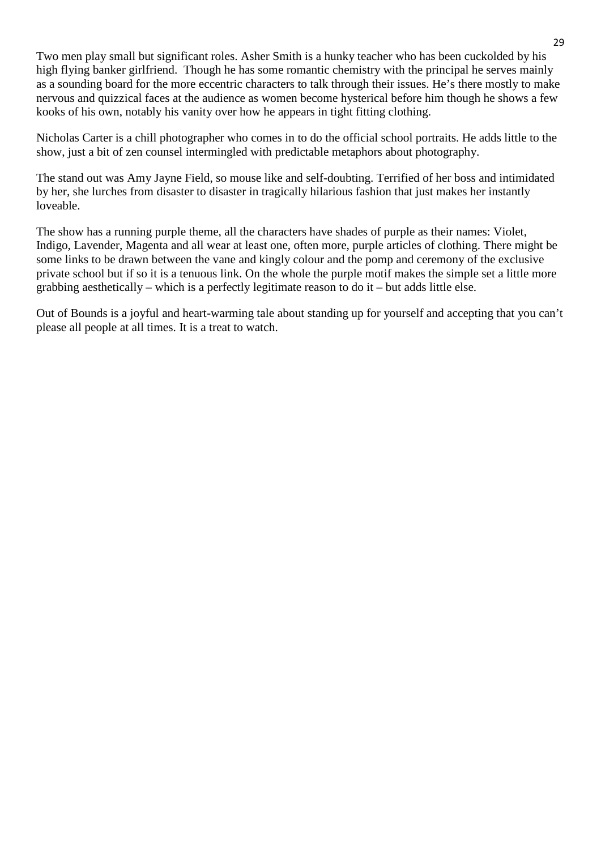Two men play small but significant roles. Asher Smith is a hunky teacher who has been cuckolded by his high flying banker girlfriend. Though he has some romantic chemistry with the principal he serves mainly as a sounding board for the more eccentric characters to talk through their issues. He's there mostly to make nervous and quizzical faces at the audience as women become hysterical before him though he shows a few kooks of his own, notably his vanity over how he appears in tight fitting clothing.

Nicholas Carter is a chill photographer who comes in to do the official school portraits. He adds little to the show, just a bit of zen counsel intermingled with predictable metaphors about photography.

The stand out was Amy Jayne Field, so mouse like and self-doubting. Terrified of her boss and intimidated by her, she lurches from disaster to disaster in tragically hilarious fashion that just makes her instantly loveable.

The show has a running purple theme, all the characters have shades of purple as their names: Violet, Indigo, Lavender, Magenta and all wear at least one, often more, purple articles of clothing. There might be some links to be drawn between the vane and kingly colour and the pomp and ceremony of the exclusive private school but if so it is a tenuous link. On the whole the purple motif makes the simple set a little more grabbing aesthetically – which is a perfectly legitimate reason to do it – but adds little else.

Out of Bounds is a joyful and heart-warming tale about standing up for yourself and accepting that you can't please all people at all times. It is a treat to watch.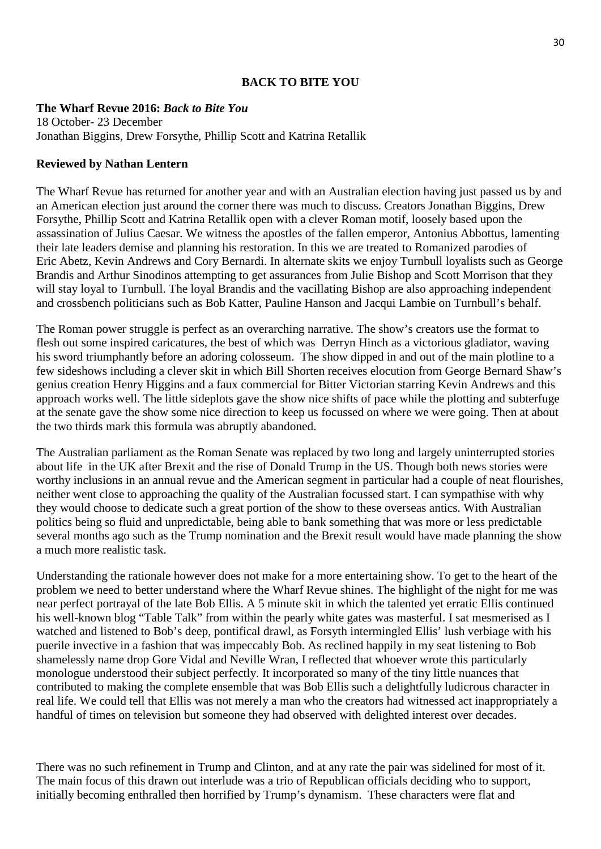#### **BACK TO BITE YOU**

#### **The Wharf Revue 2016:** *Back to Bite You*

18 October- 23 December Jonathan Biggins, Drew Forsythe, Phillip Scott and Katrina Retallik

#### **Reviewed by Nathan Lentern**

The Wharf Revue has returned for another year and with an Australian election having just passed us by and an American election just around the corner there was much to discuss. Creators Jonathan Biggins, Drew Forsythe, Phillip Scott and Katrina Retallik open with a clever Roman motif, loosely based upon the assassination of Julius Caesar. We witness the apostles of the fallen emperor, Antonius Abbottus, lamenting their late leaders demise and planning his restoration. In this we are treated to Romanized parodies of Eric Abetz, Kevin Andrews and Cory Bernardi. In alternate skits we enjoy Turnbull loyalists such as George Brandis and Arthur Sinodinos attempting to get assurances from Julie Bishop and Scott Morrison that they will stay loyal to Turnbull. The loyal Brandis and the vacillating Bishop are also approaching independent and crossbench politicians such as Bob Katter, Pauline Hanson and Jacqui Lambie on Turnbull's behalf.

The Roman power struggle is perfect as an overarching narrative. The show's creators use the format to flesh out some inspired caricatures, the best of which was Derryn Hinch as a victorious gladiator, waving his sword triumphantly before an adoring colosseum. The show dipped in and out of the main plotline to a few sideshows including a clever skit in which Bill Shorten receives elocution from George Bernard Shaw's genius creation Henry Higgins and a faux commercial for Bitter Victorian starring Kevin Andrews and this approach works well. The little sideplots gave the show nice shifts of pace while the plotting and subterfuge at the senate gave the show some nice direction to keep us focussed on where we were going. Then at about the two thirds mark this formula was abruptly abandoned.

The Australian parliament as the Roman Senate was replaced by two long and largely uninterrupted stories about life in the UK after Brexit and the rise of Donald Trump in the US. Though both news stories were worthy inclusions in an annual revue and the American segment in particular had a couple of neat flourishes, neither went close to approaching the quality of the Australian focussed start. I can sympathise with why they would choose to dedicate such a great portion of the show to these overseas antics. With Australian politics being so fluid and unpredictable, being able to bank something that was more or less predictable several months ago such as the Trump nomination and the Brexit result would have made planning the show a much more realistic task.

Understanding the rationale however does not make for a more entertaining show. To get to the heart of the problem we need to better understand where the Wharf Revue shines. The highlight of the night for me was near perfect portrayal of the late Bob Ellis. A 5 minute skit in which the talented yet erratic Ellis continued his well-known blog "Table Talk" from within the pearly white gates was masterful. I sat mesmerised as I watched and listened to Bob's deep, pontifical drawl, as Forsyth intermingled Ellis' lush verbiage with his puerile invective in a fashion that was impeccably Bob. As reclined happily in my seat listening to Bob shamelessly name drop Gore Vidal and Neville Wran, I reflected that whoever wrote this particularly monologue understood their subject perfectly. It incorporated so many of the tiny little nuances that contributed to making the complete ensemble that was Bob Ellis such a delightfully ludicrous character in real life. We could tell that Ellis was not merely a man who the creators had witnessed act inappropriately a handful of times on television but someone they had observed with delighted interest over decades.

There was no such refinement in Trump and Clinton, and at any rate the pair was sidelined for most of it. The main focus of this drawn out interlude was a trio of Republican officials deciding who to support, initially becoming enthralled then horrified by Trump's dynamism. These characters were flat and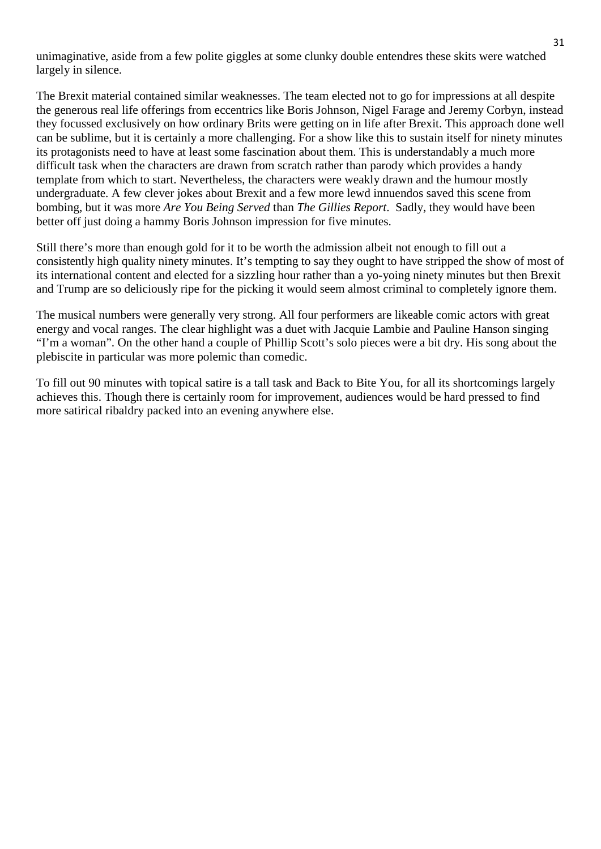unimaginative, aside from a few polite giggles at some clunky double entendres these skits were watched largely in silence.

The Brexit material contained similar weaknesses. The team elected not to go for impressions at all despite the generous real life offerings from eccentrics like Boris Johnson, Nigel Farage and Jeremy Corbyn, instead they focussed exclusively on how ordinary Brits were getting on in life after Brexit. This approach done well can be sublime, but it is certainly a more challenging. For a show like this to sustain itself for ninety minutes its protagonists need to have at least some fascination about them. This is understandably a much more difficult task when the characters are drawn from scratch rather than parody which provides a handy template from which to start. Nevertheless, the characters were weakly drawn and the humour mostly undergraduate. A few clever jokes about Brexit and a few more lewd innuendos saved this scene from bombing, but it was more *Are You Being Served* than *The Gillies Report*. Sadly, they would have been better off just doing a hammy Boris Johnson impression for five minutes.

Still there's more than enough gold for it to be worth the admission albeit not enough to fill out a consistently high quality ninety minutes. It's tempting to say they ought to have stripped the show of most of its international content and elected for a sizzling hour rather than a yo-yoing ninety minutes but then Brexit and Trump are so deliciously ripe for the picking it would seem almost criminal to completely ignore them.

The musical numbers were generally very strong. All four performers are likeable comic actors with great energy and vocal ranges. The clear highlight was a duet with Jacquie Lambie and Pauline Hanson singing "I'm a woman". On the other hand a couple of Phillip Scott's solo pieces were a bit dry. His song about the plebiscite in particular was more polemic than comedic.

To fill out 90 minutes with topical satire is a tall task and Back to Bite You, for all its shortcomings largely achieves this. Though there is certainly room for improvement, audiences would be hard pressed to find more satirical ribaldry packed into an evening anywhere else.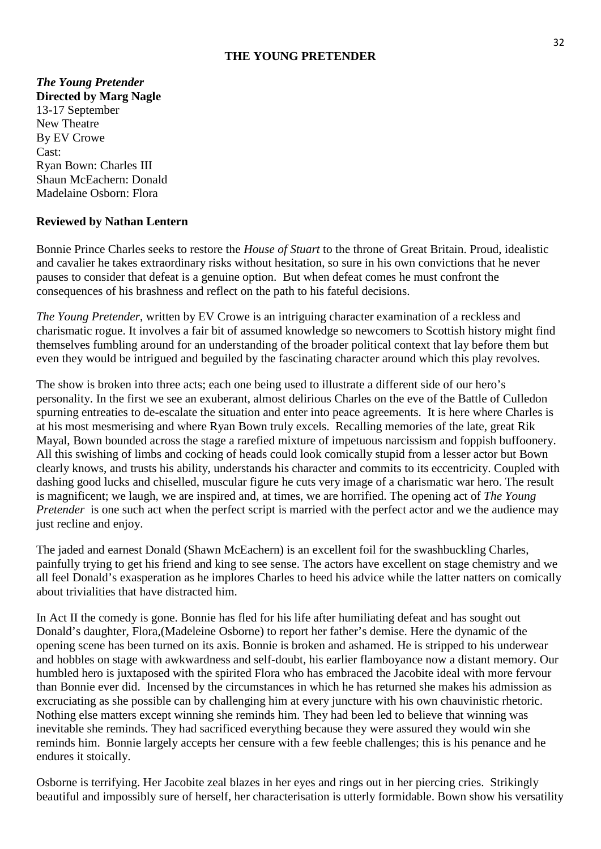#### **THE YOUNG PRETENDER**

#### *The Young Pretender* **Directed by Marg Nagle**

13-17 September New Theatre By EV Crowe Cast: Ryan Bown: Charles III Shaun McEachern: Donald Madelaine Osborn: Flora

#### **Reviewed by Nathan Lentern**

Bonnie Prince Charles seeks to restore the *House of Stuart* to the throne of Great Britain. Proud, idealistic and cavalier he takes extraordinary risks without hesitation, so sure in his own convictions that he never pauses to consider that defeat is a genuine option. But when defeat comes he must confront the consequences of his brashness and reflect on the path to his fateful decisions.

*The Young Pretender*, written by EV Crowe is an intriguing character examination of a reckless and charismatic rogue. It involves a fair bit of assumed knowledge so newcomers to Scottish history might find themselves fumbling around for an understanding of the broader political context that lay before them but even they would be intrigued and beguiled by the fascinating character around which this play revolves.

The show is broken into three acts; each one being used to illustrate a different side of our hero's personality. In the first we see an exuberant, almost delirious Charles on the eve of the Battle of Culledon spurning entreaties to de-escalate the situation and enter into peace agreements. It is here where Charles is at his most mesmerising and where Ryan Bown truly excels. Recalling memories of the late, great Rik Mayal, Bown bounded across the stage a rarefied mixture of impetuous narcissism and foppish buffoonery. All this swishing of limbs and cocking of heads could look comically stupid from a lesser actor but Bown clearly knows, and trusts his ability, understands his character and commits to its eccentricity. Coupled with dashing good lucks and chiselled, muscular figure he cuts very image of a charismatic war hero. The result is magnificent; we laugh, we are inspired and, at times, we are horrified. The opening act of *The Young Pretender* is one such act when the perfect script is married with the perfect actor and we the audience may just recline and enjoy.

The jaded and earnest Donald (Shawn McEachern) is an excellent foil for the swashbuckling Charles, painfully trying to get his friend and king to see sense. The actors have excellent on stage chemistry and we all feel Donald's exasperation as he implores Charles to heed his advice while the latter natters on comically about trivialities that have distracted him.

In Act II the comedy is gone. Bonnie has fled for his life after humiliating defeat and has sought out Donald's daughter, Flora,(Madeleine Osborne) to report her father's demise. Here the dynamic of the opening scene has been turned on its axis. Bonnie is broken and ashamed. He is stripped to his underwear and hobbles on stage with awkwardness and self-doubt, his earlier flamboyance now a distant memory. Our humbled hero is juxtaposed with the spirited Flora who has embraced the Jacobite ideal with more fervour than Bonnie ever did. Incensed by the circumstances in which he has returned she makes his admission as excruciating as she possible can by challenging him at every juncture with his own chauvinistic rhetoric. Nothing else matters except winning she reminds him. They had been led to believe that winning was inevitable she reminds. They had sacrificed everything because they were assured they would win she reminds him. Bonnie largely accepts her censure with a few feeble challenges; this is his penance and he endures it stoically.

Osborne is terrifying. Her Jacobite zeal blazes in her eyes and rings out in her piercing cries. Strikingly beautiful and impossibly sure of herself, her characterisation is utterly formidable. Bown show his versatility